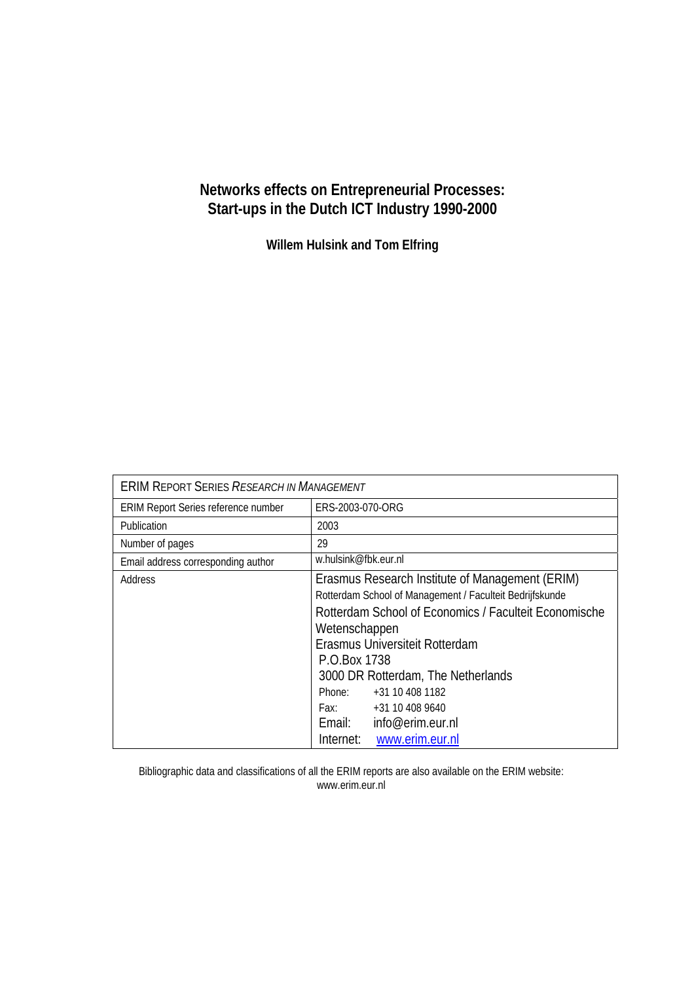## **Networks effects on Entrepreneurial Processes: Start-ups in the Dutch ICT Industry 1990-2000**

**Willem Hulsink and Tom Elfring**

| <b>ERIM REPORT SERIES RESEARCH IN MANAGEMENT</b> |                      |                                                          |
|--------------------------------------------------|----------------------|----------------------------------------------------------|
| ERIM Report Series reference number              | ERS-2003-070-ORG     |                                                          |
| Publication                                      | 2003                 |                                                          |
| Number of pages                                  | 29                   |                                                          |
| Email address corresponding author               | w.hulsink@fbk.eur.nl |                                                          |
| Address                                          |                      | Erasmus Research Institute of Management (ERIM)          |
|                                                  |                      | Rotterdam School of Management / Faculteit Bedrijfskunde |
|                                                  |                      | Rotterdam School of Economics / Faculteit Economische    |
|                                                  | Wetenschappen        |                                                          |
|                                                  |                      | Erasmus Universiteit Rotterdam                           |
|                                                  | P.O.Box 1738         |                                                          |
|                                                  |                      | 3000 DR Rotterdam, The Netherlands                       |
|                                                  | Phone:               | +31 10 408 1182                                          |
|                                                  |                      | Fax: +31 10 408 9640                                     |
|                                                  |                      | Email: info@erim.eur.nl                                  |
|                                                  |                      | Internet: www.erim.eur.nl                                |

Bibliographic data and classifications of all the ERIM reports are also available on the ERIM website: www.erim.eur.nl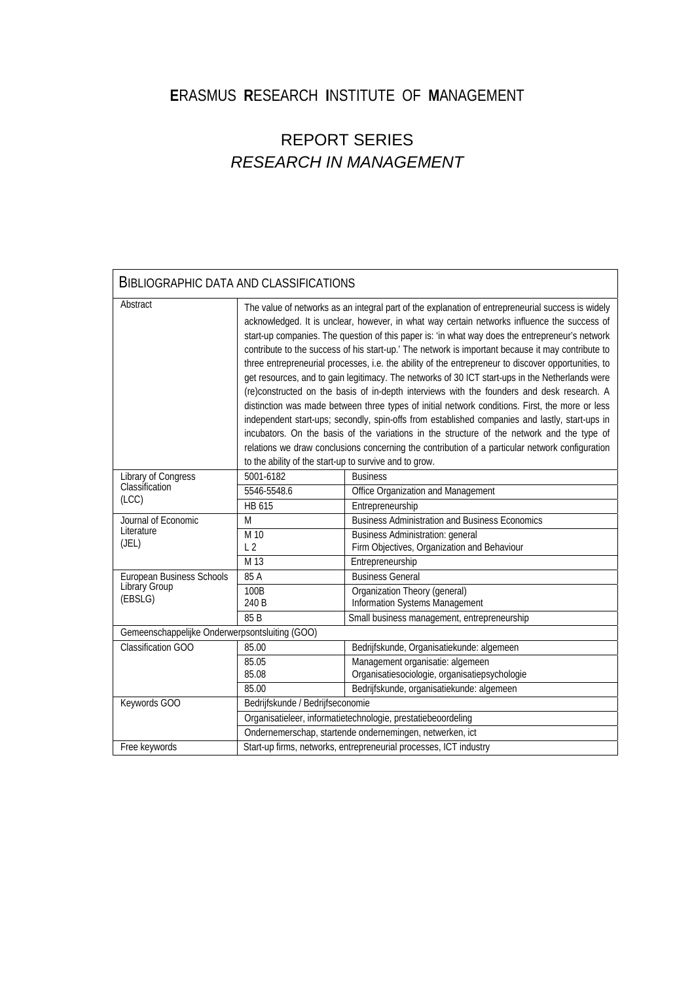## **E**RASMUS **R**ESEARCH **I**NSTITUTE OF **M**ANAGEMENT

# REPORT SERIES *RESEARCH IN MANAGEMENT*

| <b>BIBLIOGRAPHIC DATA AND CLASSIFICATIONS</b>  |                                                                   |                                                                                                                                                                                                                                                                                                                                                                                                                                                                                                                                                                                                                                                                                                                                                                                                                                                                                                                                                                                                                                                                                                                        |
|------------------------------------------------|-------------------------------------------------------------------|------------------------------------------------------------------------------------------------------------------------------------------------------------------------------------------------------------------------------------------------------------------------------------------------------------------------------------------------------------------------------------------------------------------------------------------------------------------------------------------------------------------------------------------------------------------------------------------------------------------------------------------------------------------------------------------------------------------------------------------------------------------------------------------------------------------------------------------------------------------------------------------------------------------------------------------------------------------------------------------------------------------------------------------------------------------------------------------------------------------------|
| Abstract                                       | to the ability of the start-up to survive and to grow.            | The value of networks as an integral part of the explanation of entrepreneurial success is widely<br>acknowledged. It is unclear, however, in what way certain networks influence the success of<br>start-up companies. The question of this paper is: 'in what way does the entrepreneur's network<br>contribute to the success of his start-up.' The network is important because it may contribute to<br>three entrepreneurial processes, i.e. the ability of the entrepreneur to discover opportunities, to<br>get resources, and to gain legitimacy. The networks of 30 ICT start-ups in the Netherlands were<br>(re)constructed on the basis of in-depth interviews with the founders and desk research. A<br>distinction was made between three types of initial network conditions. First, the more or less<br>independent start-ups; secondly, spin-offs from established companies and lastly, start-ups in<br>incubators. On the basis of the variations in the structure of the network and the type of<br>relations we draw conclusions concerning the contribution of a particular network configuration |
| Library of Congress                            | 5001-6182                                                         | <b>Business</b>                                                                                                                                                                                                                                                                                                                                                                                                                                                                                                                                                                                                                                                                                                                                                                                                                                                                                                                                                                                                                                                                                                        |
| Classification                                 | 5546-5548.6                                                       | Office Organization and Management                                                                                                                                                                                                                                                                                                                                                                                                                                                                                                                                                                                                                                                                                                                                                                                                                                                                                                                                                                                                                                                                                     |
| (ICC)                                          | HB 615                                                            | Entrepreneurship                                                                                                                                                                                                                                                                                                                                                                                                                                                                                                                                                                                                                                                                                                                                                                                                                                                                                                                                                                                                                                                                                                       |
| Journal of Economic                            | M                                                                 | <b>Business Administration and Business Economics</b>                                                                                                                                                                                                                                                                                                                                                                                                                                                                                                                                                                                                                                                                                                                                                                                                                                                                                                                                                                                                                                                                  |
| Literature                                     | M 10                                                              | Business Administration: general                                                                                                                                                                                                                                                                                                                                                                                                                                                                                                                                                                                                                                                                                                                                                                                                                                                                                                                                                                                                                                                                                       |
| (JEL)                                          | L <sub>2</sub>                                                    | Firm Objectives, Organization and Behaviour                                                                                                                                                                                                                                                                                                                                                                                                                                                                                                                                                                                                                                                                                                                                                                                                                                                                                                                                                                                                                                                                            |
|                                                | M 13                                                              | Entrepreneurship                                                                                                                                                                                                                                                                                                                                                                                                                                                                                                                                                                                                                                                                                                                                                                                                                                                                                                                                                                                                                                                                                                       |
| <b>European Business Schools</b>               | 85 A                                                              | <b>Business General</b>                                                                                                                                                                                                                                                                                                                                                                                                                                                                                                                                                                                                                                                                                                                                                                                                                                                                                                                                                                                                                                                                                                |
| Library Group                                  | 100B                                                              | Organization Theory (general)                                                                                                                                                                                                                                                                                                                                                                                                                                                                                                                                                                                                                                                                                                                                                                                                                                                                                                                                                                                                                                                                                          |
| (EBSLG)                                        | 240 B                                                             | Information Systems Management                                                                                                                                                                                                                                                                                                                                                                                                                                                                                                                                                                                                                                                                                                                                                                                                                                                                                                                                                                                                                                                                                         |
|                                                | 85 B                                                              | Small business management, entrepreneurship                                                                                                                                                                                                                                                                                                                                                                                                                                                                                                                                                                                                                                                                                                                                                                                                                                                                                                                                                                                                                                                                            |
| Gemeenschappelijke Onderwerpsontsluiting (GOO) |                                                                   |                                                                                                                                                                                                                                                                                                                                                                                                                                                                                                                                                                                                                                                                                                                                                                                                                                                                                                                                                                                                                                                                                                                        |
| Classification GOO                             | 85.00                                                             | Bedrijfskunde, Organisatiekunde: algemeen                                                                                                                                                                                                                                                                                                                                                                                                                                                                                                                                                                                                                                                                                                                                                                                                                                                                                                                                                                                                                                                                              |
|                                                | 85.05                                                             | Management organisatie: algemeen                                                                                                                                                                                                                                                                                                                                                                                                                                                                                                                                                                                                                                                                                                                                                                                                                                                                                                                                                                                                                                                                                       |
|                                                | 85.08                                                             | Organisatiesociologie, organisatiepsychologie                                                                                                                                                                                                                                                                                                                                                                                                                                                                                                                                                                                                                                                                                                                                                                                                                                                                                                                                                                                                                                                                          |
|                                                | 85.00                                                             | Bedrijfskunde, organisatiekunde: algemeen                                                                                                                                                                                                                                                                                                                                                                                                                                                                                                                                                                                                                                                                                                                                                                                                                                                                                                                                                                                                                                                                              |
| Keywords GOO                                   | Bedrijfskunde / Bedrijfseconomie                                  |                                                                                                                                                                                                                                                                                                                                                                                                                                                                                                                                                                                                                                                                                                                                                                                                                                                                                                                                                                                                                                                                                                                        |
|                                                |                                                                   | Organisatieleer, informatietechnologie, prestatiebeoordeling                                                                                                                                                                                                                                                                                                                                                                                                                                                                                                                                                                                                                                                                                                                                                                                                                                                                                                                                                                                                                                                           |
|                                                |                                                                   | Ondernemerschap, startende ondernemingen, netwerken, ict                                                                                                                                                                                                                                                                                                                                                                                                                                                                                                                                                                                                                                                                                                                                                                                                                                                                                                                                                                                                                                                               |
| Free keywords                                  | Start-up firms, networks, entrepreneurial processes, ICT industry |                                                                                                                                                                                                                                                                                                                                                                                                                                                                                                                                                                                                                                                                                                                                                                                                                                                                                                                                                                                                                                                                                                                        |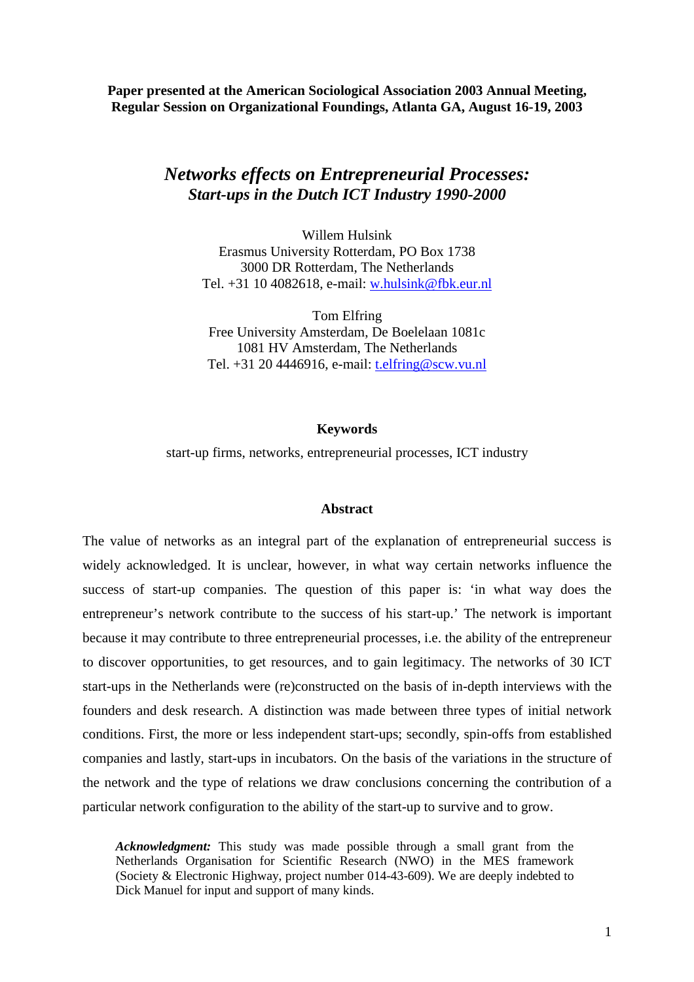**Paper presented at the American Sociological Association 2003 Annual Meeting, Regular Session on Organizational Foundings, Atlanta GA, August 16-19, 2003**

## *Networks effects on Entrepreneurial Processes: Start-ups in the Dutch ICT Industry 1990-2000*

Willem Hulsink Erasmus University Rotterdam, PO Box 1738 3000 DR Rotterdam, The Netherlands Tel. +31 10 4082618, e-mail: w.hulsink@fbk.eur.nl

Tom Elfring Free University Amsterdam, De Boelelaan 1081c 1081 HV Amsterdam, The Netherlands Tel. +31 20 4446916, e-mail: t.elfring@scw.vu.nl

### **Keywords**

start-up firms, networks, entrepreneurial processes, ICT industry

#### **Abstract**

The value of networks as an integral part of the explanation of entrepreneurial success is widely acknowledged. It is unclear, however, in what way certain networks influence the success of start-up companies. The question of this paper is: 'in what way does the entrepreneur's network contribute to the success of his start-up.' The network is important because it may contribute to three entrepreneurial processes, i.e. the ability of the entrepreneur to discover opportunities, to get resources, and to gain legitimacy. The networks of 30 ICT start-ups in the Netherlands were (re)constructed on the basis of in-depth interviews with the founders and desk research. A distinction was made between three types of initial network conditions. First, the more or less independent start-ups; secondly, spin-offs from established companies and lastly, start-ups in incubators. On the basis of the variations in the structure of the network and the type of relations we draw conclusions concerning the contribution of a particular network configuration to the ability of the start-up to survive and to grow.

*Acknowledgment:* This study was made possible through a small grant from the Netherlands Organisation for Scientific Research (NWO) in the MES framework (Society & Electronic Highway, project number 014-43-609). We are deeply indebted to Dick Manuel for input and support of many kinds.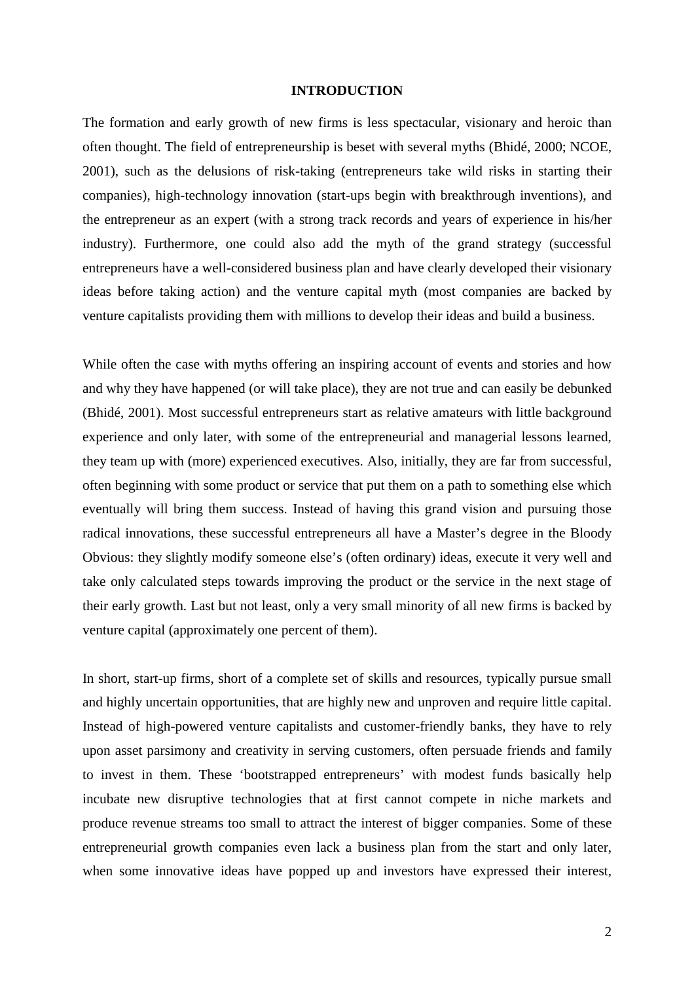### **INTRODUCTION**

The formation and early growth of new firms is less spectacular, visionary and heroic than often thought. The field of entrepreneurship is beset with several myths (Bhidé, 2000; NCOE, 2001), such as the delusions of risk-taking (entrepreneurs take wild risks in starting their companies), high-technology innovation (start-ups begin with breakthrough inventions), and the entrepreneur as an expert (with a strong track records and years of experience in his/her industry). Furthermore, one could also add the myth of the grand strategy (successful entrepreneurs have a well-considered business plan and have clearly developed their visionary ideas before taking action) and the venture capital myth (most companies are backed by venture capitalists providing them with millions to develop their ideas and build a business.

While often the case with myths offering an inspiring account of events and stories and how and why they have happened (or will take place), they are not true and can easily be debunked (Bhidé, 2001). Most successful entrepreneurs start as relative amateurs with little background experience and only later, with some of the entrepreneurial and managerial lessons learned, they team up with (more) experienced executives. Also, initially, they are far from successful, often beginning with some product or service that put them on a path to something else which eventually will bring them success. Instead of having this grand vision and pursuing those radical innovations, these successful entrepreneurs all have a Master's degree in the Bloody Obvious: they slightly modify someone else's (often ordinary) ideas, execute it very well and take only calculated steps towards improving the product or the service in the next stage of their early growth. Last but not least, only a very small minority of all new firms is backed by venture capital (approximately one percent of them).

In short, start-up firms, short of a complete set of skills and resources, typically pursue small and highly uncertain opportunities, that are highly new and unproven and require little capital. Instead of high-powered venture capitalists and customer-friendly banks, they have to rely upon asset parsimony and creativity in serving customers, often persuade friends and family to invest in them. These 'bootstrapped entrepreneurs' with modest funds basically help incubate new disruptive technologies that at first cannot compete in niche markets and produce revenue streams too small to attract the interest of bigger companies. Some of these entrepreneurial growth companies even lack a business plan from the start and only later, when some innovative ideas have popped up and investors have expressed their interest,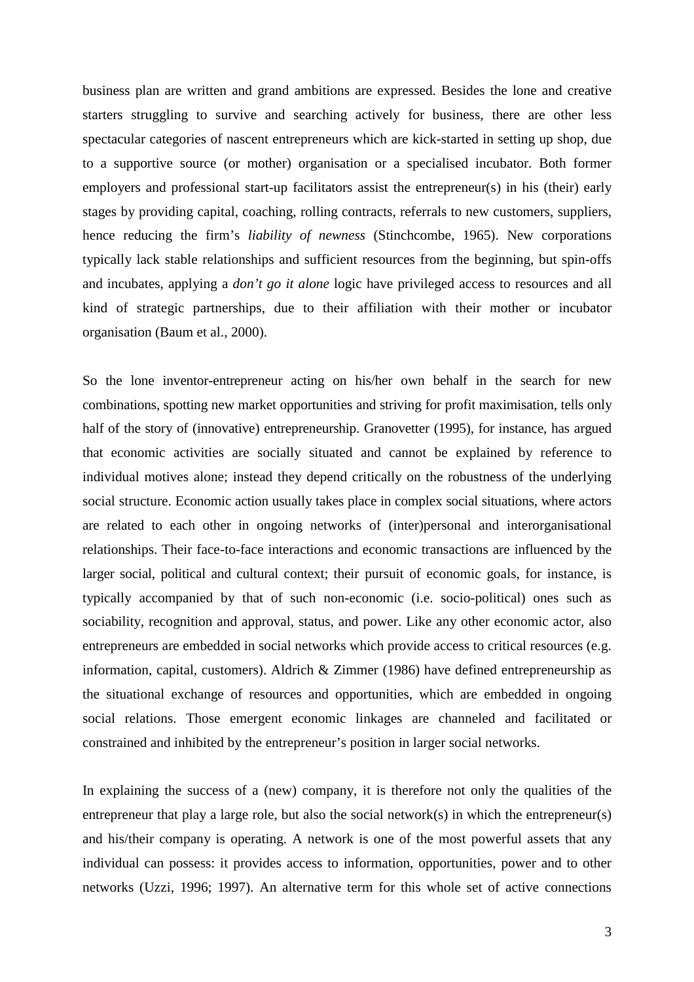business plan are written and grand ambitions are expressed. Besides the lone and creative starters struggling to survive and searching actively for business, there are other less spectacular categories of nascent entrepreneurs which are kick-started in setting up shop, due to a supportive source (or mother) organisation or a specialised incubator. Both former employers and professional start-up facilitators assist the entrepreneur(s) in his (their) early stages by providing capital, coaching, rolling contracts, referrals to new customers, suppliers, hence reducing the firm's *liability of newness* (Stinchcombe, 1965). New corporations typically lack stable relationships and sufficient resources from the beginning, but spin-offs and incubates, applying a *don't go it alone* logic have privileged access to resources and all kind of strategic partnerships, due to their affiliation with their mother or incubator organisation (Baum et al., 2000).

So the lone inventor-entrepreneur acting on his/her own behalf in the search for new combinations, spotting new market opportunities and striving for profit maximisation, tells only half of the story of (innovative) entrepreneurship. Granovetter (1995), for instance, has argued that economic activities are socially situated and cannot be explained by reference to individual motives alone; instead they depend critically on the robustness of the underlying social structure. Economic action usually takes place in complex social situations, where actors are related to each other in ongoing networks of (inter)personal and interorganisational relationships. Their face-to-face interactions and economic transactions are influenced by the larger social, political and cultural context; their pursuit of economic goals, for instance, is typically accompanied by that of such non-economic (i.e. socio-political) ones such as sociability, recognition and approval, status, and power. Like any other economic actor, also entrepreneurs are embedded in social networks which provide access to critical resources (e.g. information, capital, customers). Aldrich & Zimmer (1986) have defined entrepreneurship as the situational exchange of resources and opportunities, which are embedded in ongoing social relations. Those emergent economic linkages are channeled and facilitated or constrained and inhibited by the entrepreneur's position in larger social networks.

In explaining the success of a (new) company, it is therefore not only the qualities of the entrepreneur that play a large role, but also the social network(s) in which the entrepreneur(s) and his/their company is operating. A network is one of the most powerful assets that any individual can possess: it provides access to information, opportunities, power and to other networks (Uzzi, 1996; 1997). An alternative term for this whole set of active connections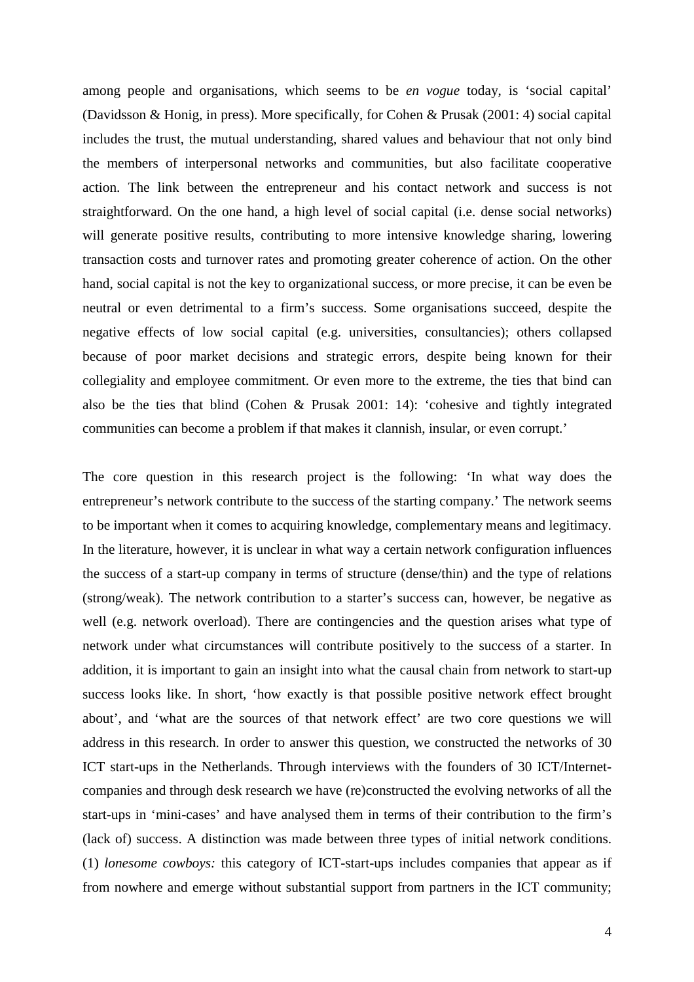among people and organisations, which seems to be *en vogue* today, is 'social capital' (Davidsson & Honig, in press). More specifically, for Cohen & Prusak (2001: 4) social capital includes the trust, the mutual understanding, shared values and behaviour that not only bind the members of interpersonal networks and communities, but also facilitate cooperative action. The link between the entrepreneur and his contact network and success is not straightforward. On the one hand, a high level of social capital (i.e. dense social networks) will generate positive results, contributing to more intensive knowledge sharing, lowering transaction costs and turnover rates and promoting greater coherence of action. On the other hand, social capital is not the key to organizational success, or more precise, it can be even be neutral or even detrimental to a firm's success. Some organisations succeed, despite the negative effects of low social capital (e.g. universities, consultancies); others collapsed because of poor market decisions and strategic errors, despite being known for their collegiality and employee commitment. Or even more to the extreme, the ties that bind can also be the ties that blind (Cohen & Prusak 2001: 14): 'cohesive and tightly integrated communities can become a problem if that makes it clannish, insular, or even corrupt.'

The core question in this research project is the following: 'In what way does the entrepreneur's network contribute to the success of the starting company.' The network seems to be important when it comes to acquiring knowledge, complementary means and legitimacy. In the literature, however, it is unclear in what way a certain network configuration influences the success of a start-up company in terms of structure (dense/thin) and the type of relations (strong/weak). The network contribution to a starter's success can, however, be negative as well (e.g. network overload). There are contingencies and the question arises what type of network under what circumstances will contribute positively to the success of a starter. In addition, it is important to gain an insight into what the causal chain from network to start-up success looks like. In short, 'how exactly is that possible positive network effect brought about', and 'what are the sources of that network effect' are two core questions we will address in this research. In order to answer this question, we constructed the networks of 30 ICT start-ups in the Netherlands. Through interviews with the founders of 30 ICT/Internetcompanies and through desk research we have (re)constructed the evolving networks of all the start-ups in 'mini-cases' and have analysed them in terms of their contribution to the firm's (lack of) success. A distinction was made between three types of initial network conditions. (1) *lonesome cowboys:* this category of ICT-start-ups includes companies that appear as if from nowhere and emerge without substantial support from partners in the ICT community;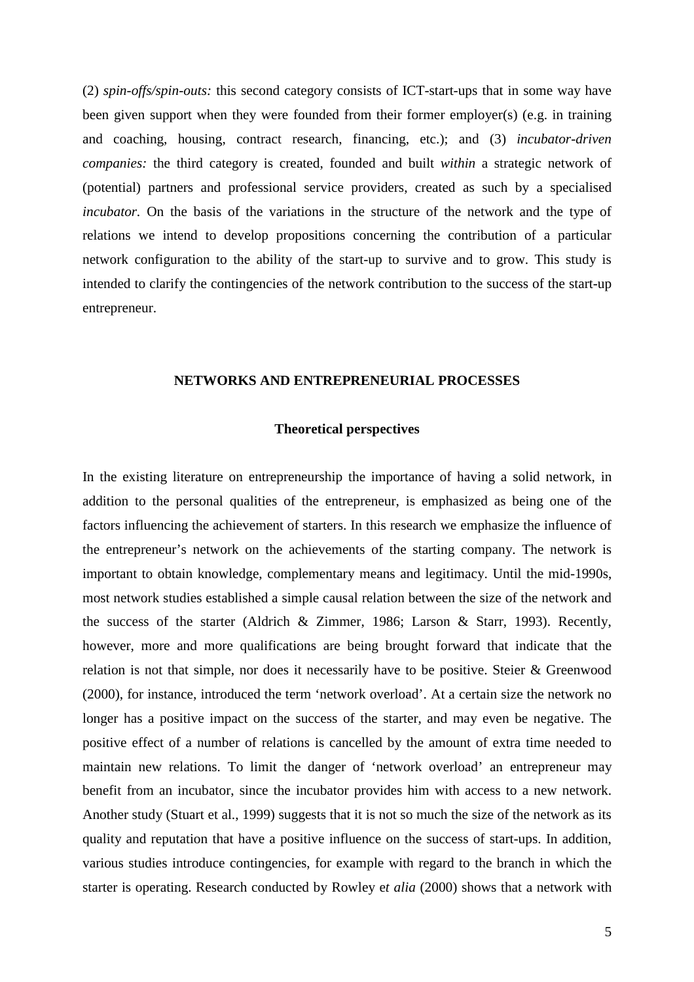(2) *spin-offs/spin-outs:* this second category consists of ICT-start-ups that in some way have been given support when they were founded from their former employer(s) (e.g. in training and coaching, housing, contract research, financing, etc.); and (3) *incubator-driven companies:* the third category is created, founded and built *within* a strategic network of (potential) partners and professional service providers, created as such by a specialised *incubator.* On the basis of the variations in the structure of the network and the type of relations we intend to develop propositions concerning the contribution of a particular network configuration to the ability of the start-up to survive and to grow. This study is intended to clarify the contingencies of the network contribution to the success of the start-up entrepreneur.

## **NETWORKS AND ENTREPRENEURIAL PROCESSES**

## **Theoretical perspectives**

In the existing literature on entrepreneurship the importance of having a solid network, in addition to the personal qualities of the entrepreneur, is emphasized as being one of the factors influencing the achievement of starters. In this research we emphasize the influence of the entrepreneur's network on the achievements of the starting company. The network is important to obtain knowledge, complementary means and legitimacy. Until the mid-1990s, most network studies established a simple causal relation between the size of the network and the success of the starter (Aldrich & Zimmer, 1986; Larson & Starr, 1993). Recently, however, more and more qualifications are being brought forward that indicate that the relation is not that simple, nor does it necessarily have to be positive. Steier & Greenwood (2000), for instance, introduced the term 'network overload'. At a certain size the network no longer has a positive impact on the success of the starter, and may even be negative. The positive effect of a number of relations is cancelled by the amount of extra time needed to maintain new relations. To limit the danger of 'network overload' an entrepreneur may benefit from an incubator, since the incubator provides him with access to a new network. Another study (Stuart et al., 1999) suggests that it is not so much the size of the network as its quality and reputation that have a positive influence on the success of start-ups. In addition, various studies introduce contingencies, for example with regard to the branch in which the starter is operating. Research conducted by Rowley e*t alia* (2000) shows that a network with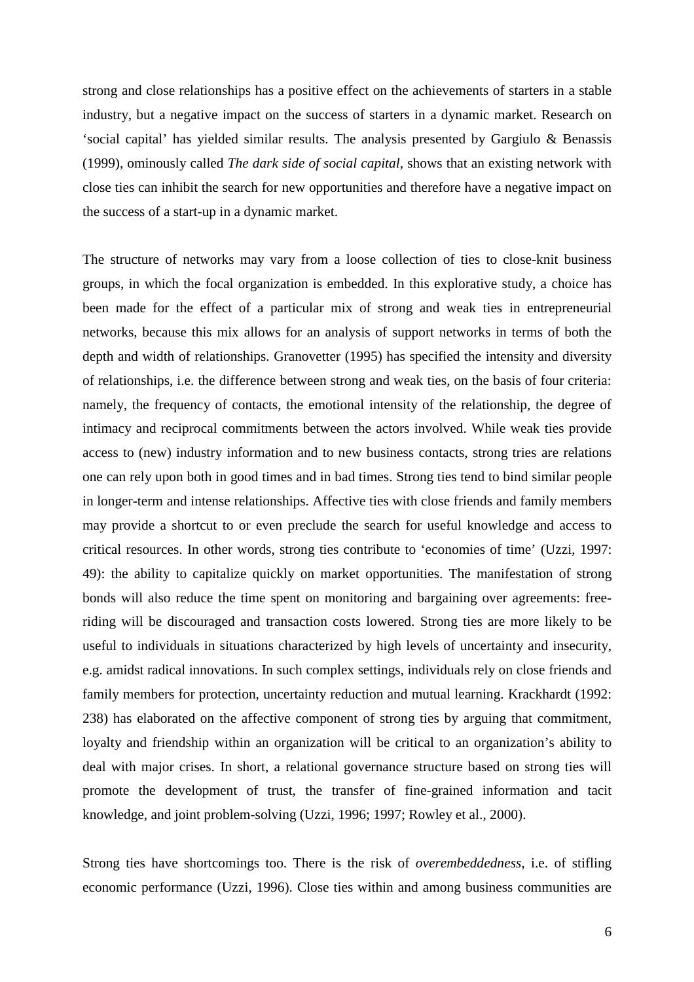strong and close relationships has a positive effect on the achievements of starters in a stable industry, but a negative impact on the success of starters in a dynamic market. Research on 'social capital' has yielded similar results. The analysis presented by Gargiulo & Benassis (1999), ominously called *The dark side of social capital*, shows that an existing network with close ties can inhibit the search for new opportunities and therefore have a negative impact on the success of a start-up in a dynamic market.

The structure of networks may vary from a loose collection of ties to close-knit business groups, in which the focal organization is embedded. In this explorative study, a choice has been made for the effect of a particular mix of strong and weak ties in entrepreneurial networks, because this mix allows for an analysis of support networks in terms of both the depth and width of relationships. Granovetter (1995) has specified the intensity and diversity of relationships, i.e. the difference between strong and weak ties, on the basis of four criteria: namely, the frequency of contacts, the emotional intensity of the relationship, the degree of intimacy and reciprocal commitments between the actors involved. While weak ties provide access to (new) industry information and to new business contacts, strong tries are relations one can rely upon both in good times and in bad times. Strong ties tend to bind similar people in longer-term and intense relationships. Affective ties with close friends and family members may provide a shortcut to or even preclude the search for useful knowledge and access to critical resources. In other words, strong ties contribute to 'economies of time' (Uzzi, 1997: 49): the ability to capitalize quickly on market opportunities. The manifestation of strong bonds will also reduce the time spent on monitoring and bargaining over agreements: freeriding will be discouraged and transaction costs lowered. Strong ties are more likely to be useful to individuals in situations characterized by high levels of uncertainty and insecurity, e.g. amidst radical innovations. In such complex settings, individuals rely on close friends and family members for protection, uncertainty reduction and mutual learning. Krackhardt (1992: 238) has elaborated on the affective component of strong ties by arguing that commitment, loyalty and friendship within an organization will be critical to an organization's ability to deal with major crises. In short, a relational governance structure based on strong ties will promote the development of trust, the transfer of fine-grained information and tacit knowledge, and joint problem-solving (Uzzi, 1996; 1997; Rowley et al., 2000).

Strong ties have shortcomings too. There is the risk of *overembeddedness*, i.e. of stifling economic performance (Uzzi, 1996). Close ties within and among business communities are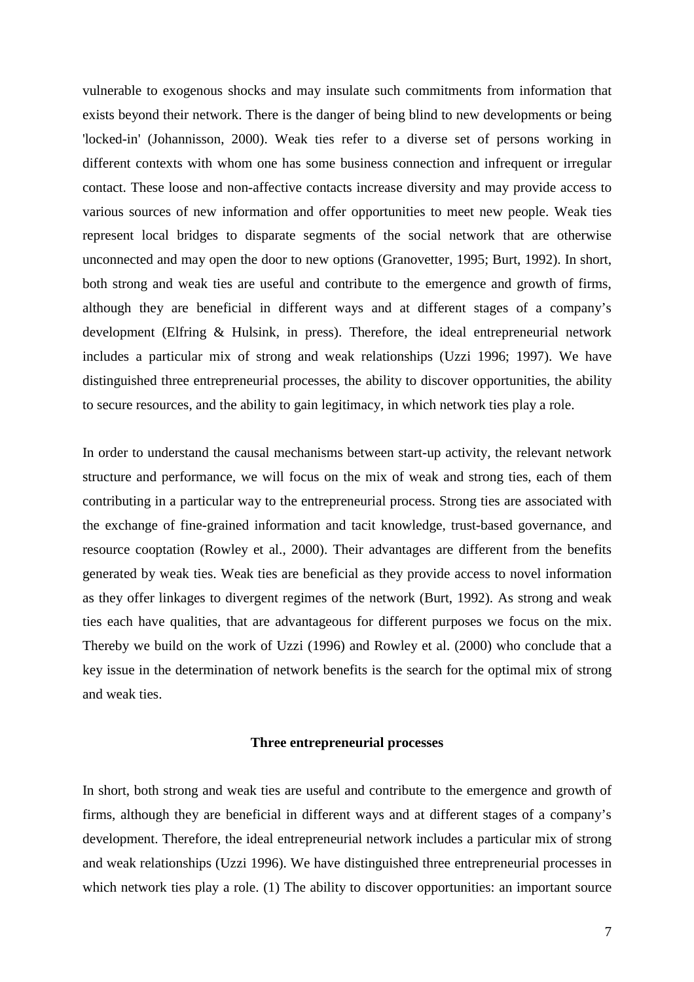vulnerable to exogenous shocks and may insulate such commitments from information that exists beyond their network. There is the danger of being blind to new developments or being 'locked-in' (Johannisson, 2000). Weak ties refer to a diverse set of persons working in different contexts with whom one has some business connection and infrequent or irregular contact. These loose and non-affective contacts increase diversity and may provide access to various sources of new information and offer opportunities to meet new people. Weak ties represent local bridges to disparate segments of the social network that are otherwise unconnected and may open the door to new options (Granovetter, 1995; Burt, 1992). In short, both strong and weak ties are useful and contribute to the emergence and growth of firms, although they are beneficial in different ways and at different stages of a company's development (Elfring & Hulsink, in press). Therefore, the ideal entrepreneurial network includes a particular mix of strong and weak relationships (Uzzi 1996; 1997). We have distinguished three entrepreneurial processes, the ability to discover opportunities, the ability to secure resources, and the ability to gain legitimacy, in which network ties play a role.

In order to understand the causal mechanisms between start-up activity, the relevant network structure and performance, we will focus on the mix of weak and strong ties, each of them contributing in a particular way to the entrepreneurial process. Strong ties are associated with the exchange of fine-grained information and tacit knowledge, trust-based governance, and resource cooptation (Rowley et al., 2000). Their advantages are different from the benefits generated by weak ties. Weak ties are beneficial as they provide access to novel information as they offer linkages to divergent regimes of the network (Burt, 1992). As strong and weak ties each have qualities, that are advantageous for different purposes we focus on the mix. Thereby we build on the work of Uzzi (1996) and Rowley et al. (2000) who conclude that a key issue in the determination of network benefits is the search for the optimal mix of strong and weak ties.

#### **Three entrepreneurial processes**

In short, both strong and weak ties are useful and contribute to the emergence and growth of firms, although they are beneficial in different ways and at different stages of a company's development. Therefore, the ideal entrepreneurial network includes a particular mix of strong and weak relationships (Uzzi 1996). We have distinguished three entrepreneurial processes in which network ties play a role. (1) The ability to discover opportunities: an important source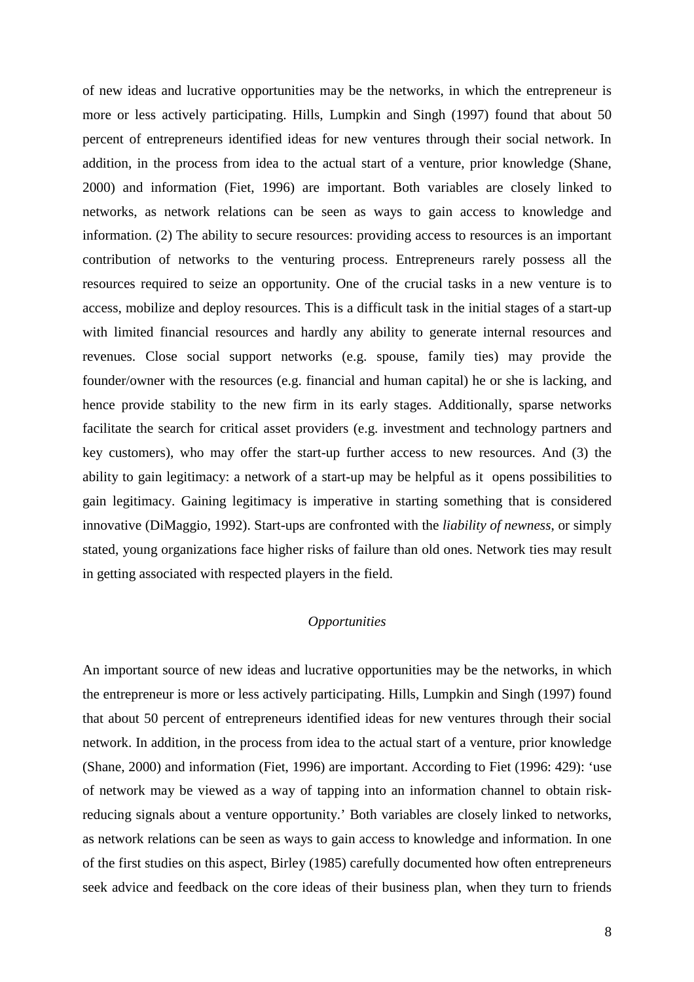of new ideas and lucrative opportunities may be the networks, in which the entrepreneur is more or less actively participating. Hills, Lumpkin and Singh (1997) found that about 50 percent of entrepreneurs identified ideas for new ventures through their social network. In addition, in the process from idea to the actual start of a venture, prior knowledge (Shane, 2000) and information (Fiet, 1996) are important. Both variables are closely linked to networks, as network relations can be seen as ways to gain access to knowledge and information. (2) The ability to secure resources: providing access to resources is an important contribution of networks to the venturing process. Entrepreneurs rarely possess all the resources required to seize an opportunity. One of the crucial tasks in a new venture is to access, mobilize and deploy resources. This is a difficult task in the initial stages of a start-up with limited financial resources and hardly any ability to generate internal resources and revenues. Close social support networks (e.g. spouse, family ties) may provide the founder/owner with the resources (e.g. financial and human capital) he or she is lacking, and hence provide stability to the new firm in its early stages. Additionally, sparse networks facilitate the search for critical asset providers (e.g. investment and technology partners and key customers), who may offer the start-up further access to new resources. And (3) the ability to gain legitimacy: a network of a start-up may be helpful as it opens possibilities to gain legitimacy. Gaining legitimacy is imperative in starting something that is considered innovative (DiMaggio, 1992). Start-ups are confronted with the *liability of newness*, or simply stated, young organizations face higher risks of failure than old ones. Network ties may result in getting associated with respected players in the field.

## *Opportunities*

An important source of new ideas and lucrative opportunities may be the networks, in which the entrepreneur is more or less actively participating. Hills, Lumpkin and Singh (1997) found that about 50 percent of entrepreneurs identified ideas for new ventures through their social network. In addition, in the process from idea to the actual start of a venture, prior knowledge (Shane, 2000) and information (Fiet, 1996) are important. According to Fiet (1996: 429): 'use of network may be viewed as a way of tapping into an information channel to obtain riskreducing signals about a venture opportunity.' Both variables are closely linked to networks, as network relations can be seen as ways to gain access to knowledge and information. In one of the first studies on this aspect, Birley (1985) carefully documented how often entrepreneurs seek advice and feedback on the core ideas of their business plan, when they turn to friends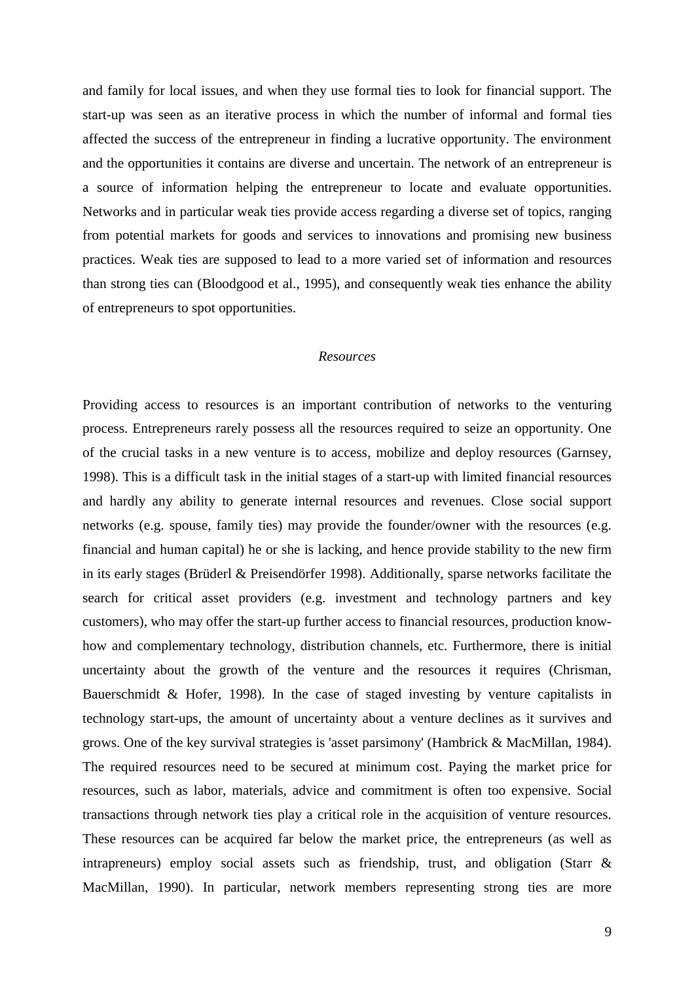and family for local issues, and when they use formal ties to look for financial support. The start-up was seen as an iterative process in which the number of informal and formal ties affected the success of the entrepreneur in finding a lucrative opportunity. The environment and the opportunities it contains are diverse and uncertain. The network of an entrepreneur is a source of information helping the entrepreneur to locate and evaluate opportunities. Networks and in particular weak ties provide access regarding a diverse set of topics, ranging from potential markets for goods and services to innovations and promising new business practices. Weak ties are supposed to lead to a more varied set of information and resources than strong ties can (Bloodgood et al., 1995), and consequently weak ties enhance the ability of entrepreneurs to spot opportunities.

#### *Resources*

Providing access to resources is an important contribution of networks to the venturing process. Entrepreneurs rarely possess all the resources required to seize an opportunity. One of the crucial tasks in a new venture is to access, mobilize and deploy resources (Garnsey, 1998). This is a difficult task in the initial stages of a start-up with limited financial resources and hardly any ability to generate internal resources and revenues. Close social support networks (e.g. spouse, family ties) may provide the founder/owner with the resources (e.g. financial and human capital) he or she is lacking, and hence provide stability to the new firm in its early stages (Brüderl & Preisendörfer 1998). Additionally, sparse networks facilitate the search for critical asset providers (e.g. investment and technology partners and key customers), who may offer the start-up further access to financial resources, production knowhow and complementary technology, distribution channels, etc. Furthermore, there is initial uncertainty about the growth of the venture and the resources it requires (Chrisman, Bauerschmidt & Hofer, 1998). In the case of staged investing by venture capitalists in technology start-ups, the amount of uncertainty about a venture declines as it survives and grows. One of the key survival strategies is 'asset parsimony' (Hambrick & MacMillan, 1984). The required resources need to be secured at minimum cost. Paying the market price for resources, such as labor, materials, advice and commitment is often too expensive. Social transactions through network ties play a critical role in the acquisition of venture resources. These resources can be acquired far below the market price, the entrepreneurs (as well as intrapreneurs) employ social assets such as friendship, trust, and obligation (Starr  $\&$ MacMillan, 1990). In particular, network members representing strong ties are more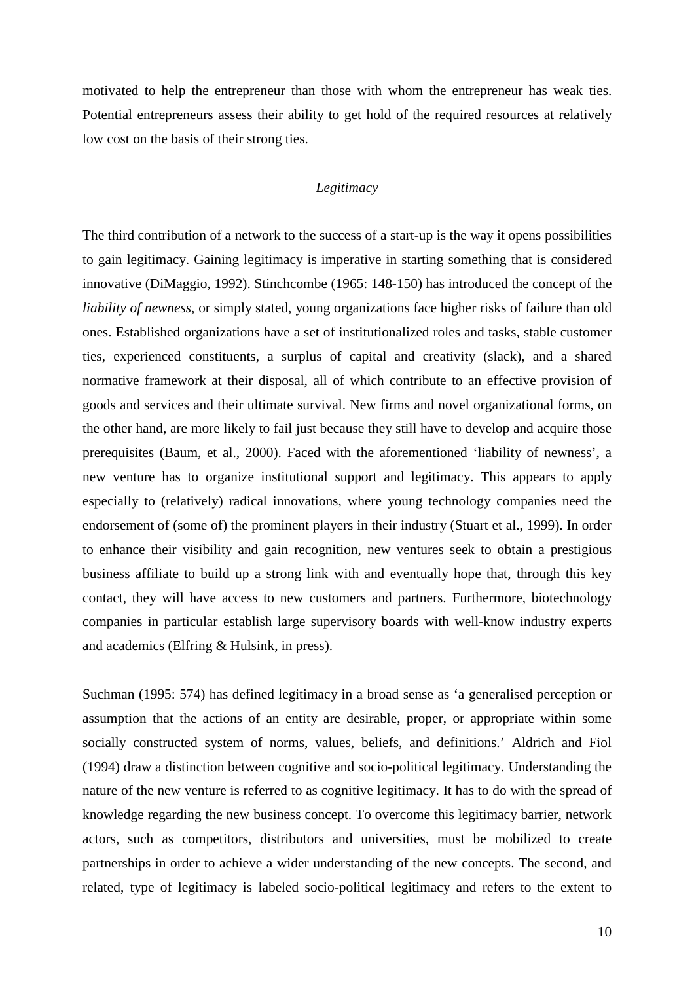motivated to help the entrepreneur than those with whom the entrepreneur has weak ties. Potential entrepreneurs assess their ability to get hold of the required resources at relatively low cost on the basis of their strong ties.

## *Legitimacy*

The third contribution of a network to the success of a start-up is the way it opens possibilities to gain legitimacy. Gaining legitimacy is imperative in starting something that is considered innovative (DiMaggio, 1992). Stinchcombe (1965: 148-150) has introduced the concept of the *liability of newness*, or simply stated, young organizations face higher risks of failure than old ones. Established organizations have a set of institutionalized roles and tasks, stable customer ties, experienced constituents, a surplus of capital and creativity (slack), and a shared normative framework at their disposal, all of which contribute to an effective provision of goods and services and their ultimate survival. New firms and novel organizational forms, on the other hand, are more likely to fail just because they still have to develop and acquire those prerequisites (Baum, et al., 2000). Faced with the aforementioned 'liability of newness', a new venture has to organize institutional support and legitimacy. This appears to apply especially to (relatively) radical innovations, where young technology companies need the endorsement of (some of) the prominent players in their industry (Stuart et al., 1999). In order to enhance their visibility and gain recognition, new ventures seek to obtain a prestigious business affiliate to build up a strong link with and eventually hope that, through this key contact, they will have access to new customers and partners. Furthermore, biotechnology companies in particular establish large supervisory boards with well-know industry experts and academics (Elfring & Hulsink, in press).

Suchman (1995: 574) has defined legitimacy in a broad sense as 'a generalised perception or assumption that the actions of an entity are desirable, proper, or appropriate within some socially constructed system of norms, values, beliefs, and definitions.' Aldrich and Fiol (1994) draw a distinction between cognitive and socio-political legitimacy. Understanding the nature of the new venture is referred to as cognitive legitimacy. It has to do with the spread of knowledge regarding the new business concept. To overcome this legitimacy barrier, network actors, such as competitors, distributors and universities, must be mobilized to create partnerships in order to achieve a wider understanding of the new concepts. The second, and related, type of legitimacy is labeled socio-political legitimacy and refers to the extent to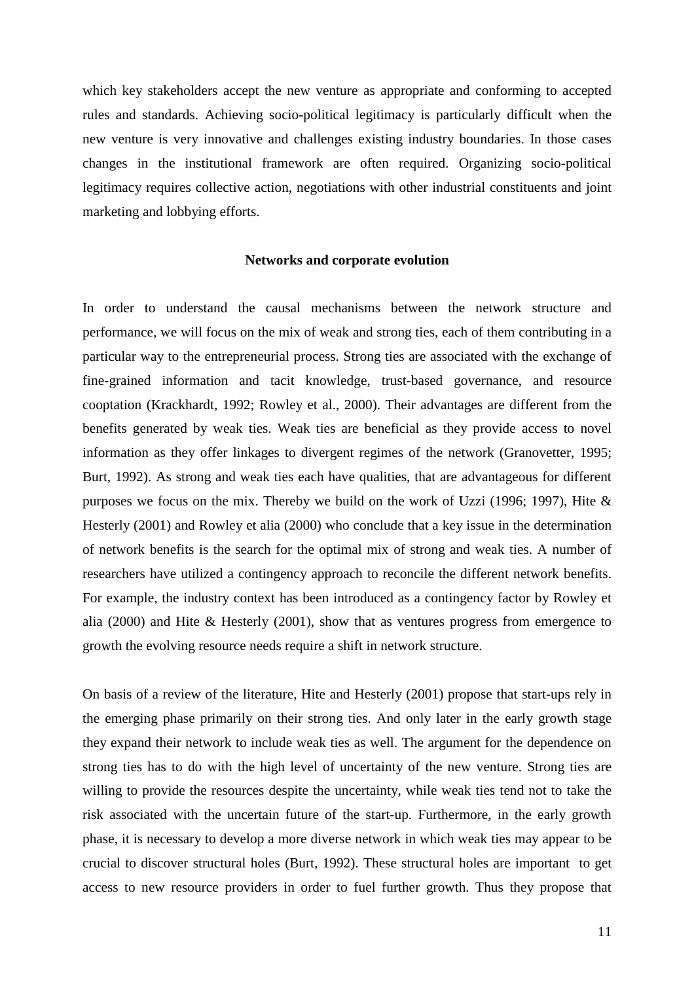which key stakeholders accept the new venture as appropriate and conforming to accepted rules and standards. Achieving socio-political legitimacy is particularly difficult when the new venture is very innovative and challenges existing industry boundaries. In those cases changes in the institutional framework are often required. Organizing socio-political legitimacy requires collective action, negotiations with other industrial constituents and joint marketing and lobbying efforts.

#### **Networks and corporate evolution**

In order to understand the causal mechanisms between the network structure and performance, we will focus on the mix of weak and strong ties, each of them contributing in a particular way to the entrepreneurial process. Strong ties are associated with the exchange of fine-grained information and tacit knowledge, trust-based governance, and resource cooptation (Krackhardt, 1992; Rowley et al., 2000). Their advantages are different from the benefits generated by weak ties. Weak ties are beneficial as they provide access to novel information as they offer linkages to divergent regimes of the network (Granovetter, 1995; Burt, 1992). As strong and weak ties each have qualities, that are advantageous for different purposes we focus on the mix. Thereby we build on the work of Uzzi (1996; 1997), Hite & Hesterly (2001) and Rowley et alia (2000) who conclude that a key issue in the determination of network benefits is the search for the optimal mix of strong and weak ties. A number of researchers have utilized a contingency approach to reconcile the different network benefits. For example, the industry context has been introduced as a contingency factor by Rowley et alia (2000) and Hite & Hesterly (2001), show that as ventures progress from emergence to growth the evolving resource needs require a shift in network structure.

On basis of a review of the literature, Hite and Hesterly (2001) propose that start-ups rely in the emerging phase primarily on their strong ties. And only later in the early growth stage they expand their network to include weak ties as well. The argument for the dependence on strong ties has to do with the high level of uncertainty of the new venture. Strong ties are willing to provide the resources despite the uncertainty, while weak ties tend not to take the risk associated with the uncertain future of the start-up. Furthermore, in the early growth phase, it is necessary to develop a more diverse network in which weak ties may appear to be crucial to discover structural holes (Burt, 1992). These structural holes are important to get access to new resource providers in order to fuel further growth. Thus they propose that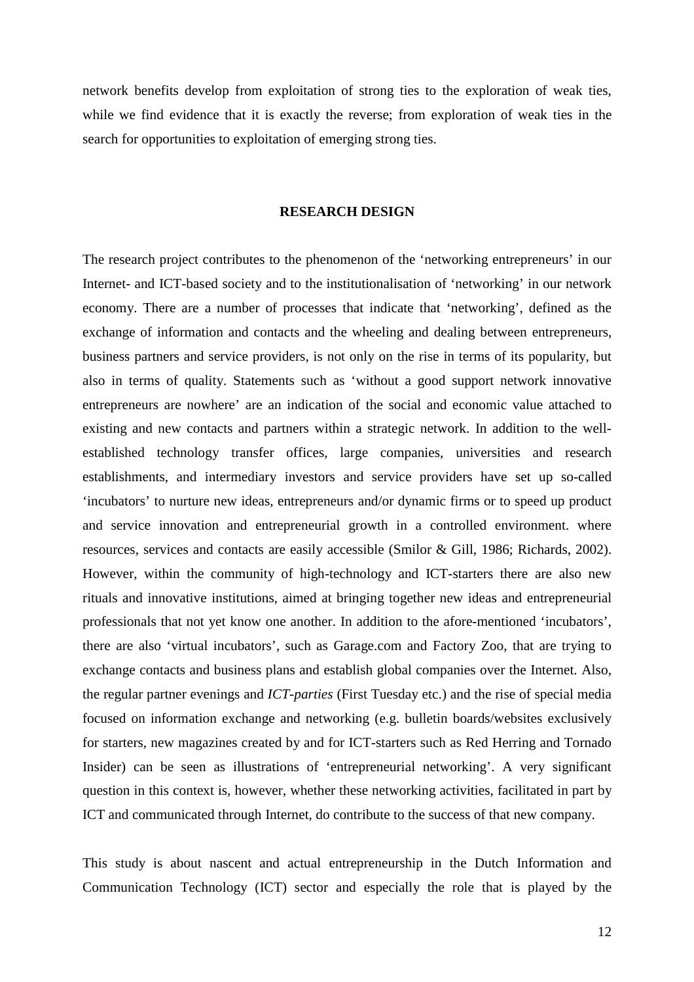network benefits develop from exploitation of strong ties to the exploration of weak ties, while we find evidence that it is exactly the reverse; from exploration of weak ties in the search for opportunities to exploitation of emerging strong ties.

## **RESEARCH DESIGN**

The research project contributes to the phenomenon of the 'networking entrepreneurs' in our Internet- and ICT-based society and to the institutionalisation of 'networking' in our network economy. There are a number of processes that indicate that 'networking', defined as the exchange of information and contacts and the wheeling and dealing between entrepreneurs, business partners and service providers, is not only on the rise in terms of its popularity, but also in terms of quality. Statements such as 'without a good support network innovative entrepreneurs are nowhere' are an indication of the social and economic value attached to existing and new contacts and partners within a strategic network. In addition to the wellestablished technology transfer offices, large companies, universities and research establishments, and intermediary investors and service providers have set up so-called 'incubators' to nurture new ideas, entrepreneurs and/or dynamic firms or to speed up product and service innovation and entrepreneurial growth in a controlled environment. where resources, services and contacts are easily accessible (Smilor & Gill, 1986; Richards, 2002). However, within the community of high-technology and ICT-starters there are also new rituals and innovative institutions, aimed at bringing together new ideas and entrepreneurial professionals that not yet know one another. In addition to the afore-mentioned 'incubators', there are also 'virtual incubators', such as Garage.com and Factory Zoo, that are trying to exchange contacts and business plans and establish global companies over the Internet. Also, the regular partner evenings and *ICT-parties* (First Tuesday etc.) and the rise of special media focused on information exchange and networking (e.g. bulletin boards/websites exclusively for starters, new magazines created by and for ICT-starters such as Red Herring and Tornado Insider) can be seen as illustrations of 'entrepreneurial networking'. A very significant question in this context is, however, whether these networking activities, facilitated in part by ICT and communicated through Internet, do contribute to the success of that new company.

This study is about nascent and actual entrepreneurship in the Dutch Information and Communication Technology (ICT) sector and especially the role that is played by the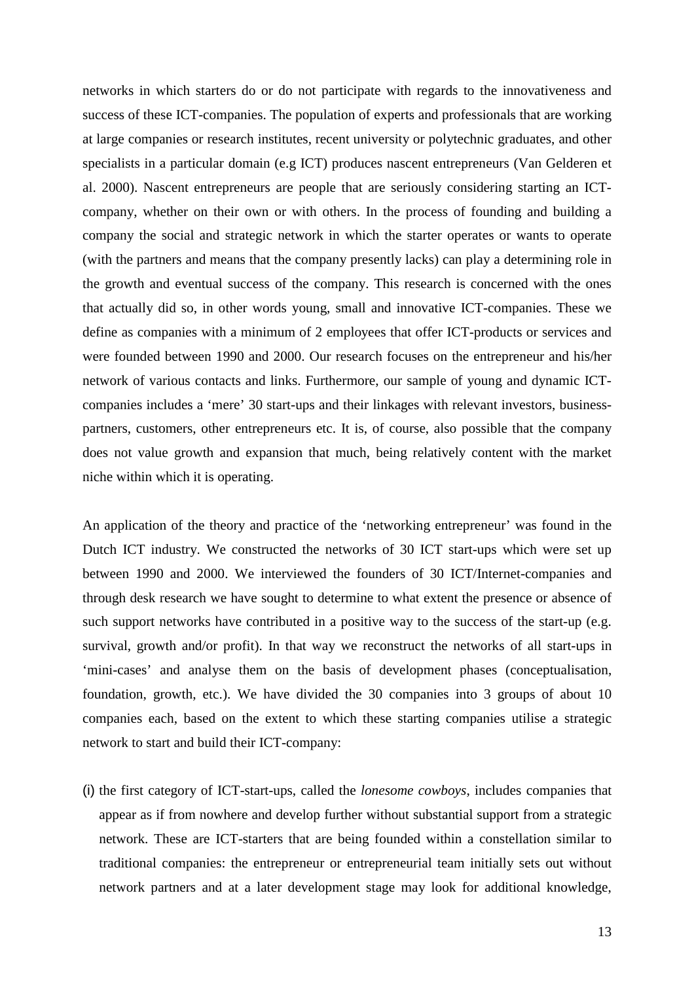networks in which starters do or do not participate with regards to the innovativeness and success of these ICT-companies. The population of experts and professionals that are working at large companies or research institutes, recent university or polytechnic graduates, and other specialists in a particular domain (e.g ICT) produces nascent entrepreneurs (Van Gelderen et al. 2000). Nascent entrepreneurs are people that are seriously considering starting an ICTcompany, whether on their own or with others. In the process of founding and building a company the social and strategic network in which the starter operates or wants to operate (with the partners and means that the company presently lacks) can play a determining role in the growth and eventual success of the company. This research is concerned with the ones that actually did so, in other words young, small and innovative ICT-companies. These we define as companies with a minimum of 2 employees that offer ICT-products or services and were founded between 1990 and 2000. Our research focuses on the entrepreneur and his/her network of various contacts and links. Furthermore, our sample of young and dynamic ICTcompanies includes a 'mere' 30 start-ups and their linkages with relevant investors, businesspartners, customers, other entrepreneurs etc. It is, of course, also possible that the company does not value growth and expansion that much, being relatively content with the market niche within which it is operating.

An application of the theory and practice of the 'networking entrepreneur' was found in the Dutch ICT industry. We constructed the networks of 30 ICT start-ups which were set up between 1990 and 2000. We interviewed the founders of 30 ICT/Internet-companies and through desk research we have sought to determine to what extent the presence or absence of such support networks have contributed in a positive way to the success of the start-up (e.g. survival, growth and/or profit). In that way we reconstruct the networks of all start-ups in 'mini-cases' and analyse them on the basis of development phases (conceptualisation, foundation, growth, etc.). We have divided the 30 companies into 3 groups of about 10 companies each, based on the extent to which these starting companies utilise a strategic network to start and build their ICT-company:

(i) the first category of ICT-start-ups, called the *lonesome cowboys*, includes companies that appear as if from nowhere and develop further without substantial support from a strategic network. These are ICT-starters that are being founded within a constellation similar to traditional companies: the entrepreneur or entrepreneurial team initially sets out without network partners and at a later development stage may look for additional knowledge,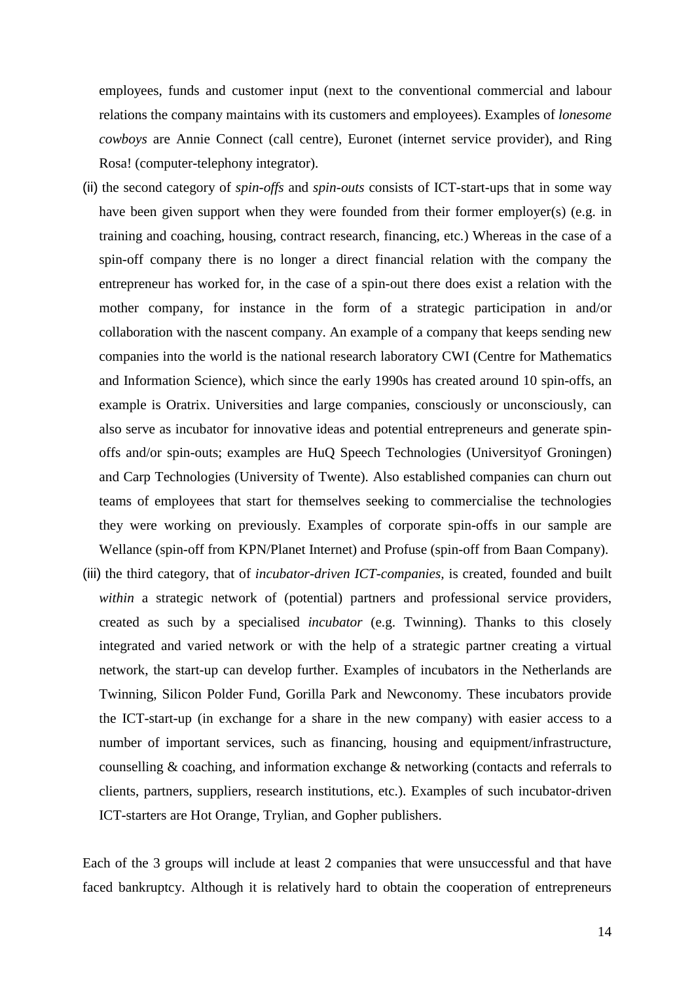employees, funds and customer input (next to the conventional commercial and labour relations the company maintains with its customers and employees). Examples of *lonesome cowboys* are Annie Connect (call centre), Euronet (internet service provider), and Ring Rosa! (computer-telephony integrator).

- (ii) the second category of *spin-offs* and *spin-outs* consists of ICT-start-ups that in some way have been given support when they were founded from their former employer(s) (e.g. in training and coaching, housing, contract research, financing, etc.) Whereas in the case of a spin-off company there is no longer a direct financial relation with the company the entrepreneur has worked for, in the case of a spin-out there does exist a relation with the mother company, for instance in the form of a strategic participation in and/or collaboration with the nascent company. An example of a company that keeps sending new companies into the world is the national research laboratory CWI (Centre for Mathematics and Information Science), which since the early 1990s has created around 10 spin-offs, an example is Oratrix. Universities and large companies, consciously or unconsciously, can also serve as incubator for innovative ideas and potential entrepreneurs and generate spinoffs and/or spin-outs; examples are HuQ Speech Technologies (Universityof Groningen) and Carp Technologies (University of Twente). Also established companies can churn out teams of employees that start for themselves seeking to commercialise the technologies they were working on previously. Examples of corporate spin-offs in our sample are Wellance (spin-off from KPN/Planet Internet) and Profuse (spin-off from Baan Company).
- (iii) the third category, that of *incubator-driven ICT-companies,* is created, founded and built *within* a strategic network of (potential) partners and professional service providers, created as such by a specialised *incubator* (e.g. Twinning). Thanks to this closely integrated and varied network or with the help of a strategic partner creating a virtual network, the start-up can develop further. Examples of incubators in the Netherlands are Twinning, Silicon Polder Fund, Gorilla Park and Newconomy. These incubators provide the ICT-start-up (in exchange for a share in the new company) with easier access to a number of important services, such as financing, housing and equipment/infrastructure, counselling & coaching, and information exchange & networking (contacts and referrals to clients, partners, suppliers, research institutions, etc.). Examples of such incubator-driven ICT-starters are Hot Orange, Trylian, and Gopher publishers.

Each of the 3 groups will include at least 2 companies that were unsuccessful and that have faced bankruptcy. Although it is relatively hard to obtain the cooperation of entrepreneurs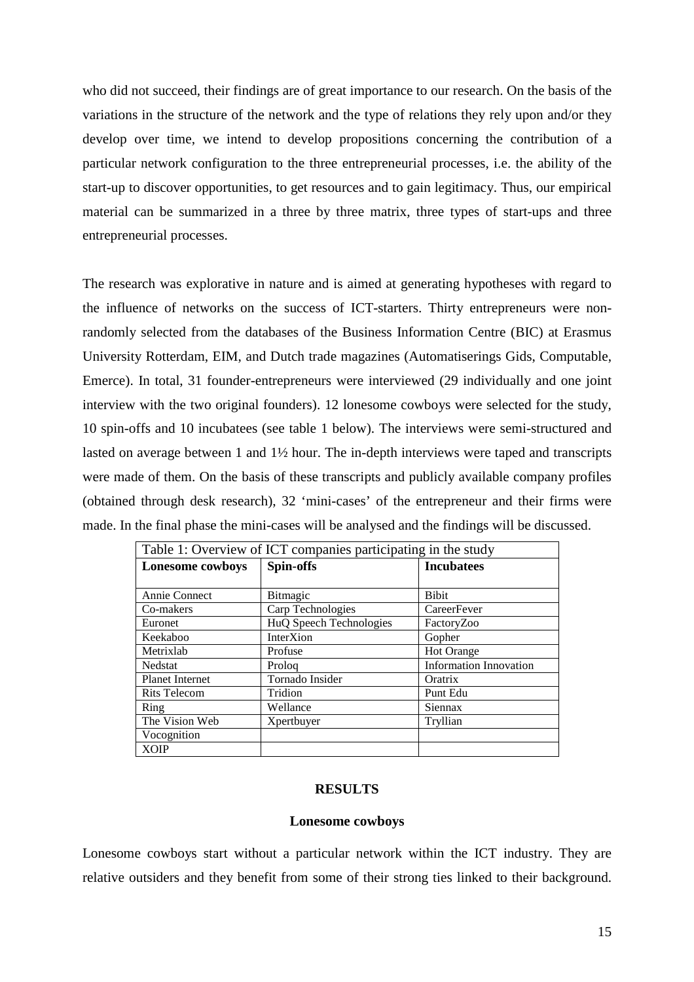who did not succeed, their findings are of great importance to our research. On the basis of the variations in the structure of the network and the type of relations they rely upon and/or they develop over time, we intend to develop propositions concerning the contribution of a particular network configuration to the three entrepreneurial processes, i.e. the ability of the start-up to discover opportunities, to get resources and to gain legitimacy. Thus, our empirical material can be summarized in a three by three matrix, three types of start-ups and three entrepreneurial processes.

The research was explorative in nature and is aimed at generating hypotheses with regard to the influence of networks on the success of ICT-starters. Thirty entrepreneurs were nonrandomly selected from the databases of the Business Information Centre (BIC) at Erasmus University Rotterdam, EIM, and Dutch trade magazines (Automatiserings Gids, Computable, Emerce). In total, 31 founder-entrepreneurs were interviewed (29 individually and one joint interview with the two original founders). 12 lonesome cowboys were selected for the study, 10 spin-offs and 10 incubatees (see table 1 below). The interviews were semi-structured and lasted on average between 1 and 1½ hour. The in-depth interviews were taped and transcripts were made of them. On the basis of these transcripts and publicly available company profiles (obtained through desk research), 32 'mini-cases' of the entrepreneur and their firms were made. In the final phase the mini-cases will be analysed and the findings will be discussed.

| Table 1: Overview of ICT companies participating in the study |                         |                               |  |
|---------------------------------------------------------------|-------------------------|-------------------------------|--|
| Spin-offs<br><b>Incubatees</b><br><b>Lonesome cowboys</b>     |                         |                               |  |
|                                                               |                         |                               |  |
| Annie Connect                                                 | <b>Bitmagic</b>         | <b>Bibit</b>                  |  |
| Co-makers                                                     | Carp Technologies       | CareerFever                   |  |
| Euronet                                                       | HuQ Speech Technologies | FactoryZoo                    |  |
| Keekaboo                                                      | <b>InterXion</b>        | Gopher                        |  |
| Metrixlab                                                     | Profuse                 | <b>Hot Orange</b>             |  |
| <b>Nedstat</b>                                                | Prolog                  | <b>Information Innovation</b> |  |
| <b>Planet Internet</b>                                        | Tornado Insider         | Oratrix                       |  |
| <b>Rits Telecom</b>                                           | Tridion                 | Punt Edu                      |  |
| Ring                                                          | Wellance                | Siennax                       |  |
| The Vision Web                                                | Xpertbuyer              | Tryllian                      |  |
| Vocognition                                                   |                         |                               |  |
| <b>XOIP</b>                                                   |                         |                               |  |

#### **RESULTS**

#### **Lonesome cowboys**

Lonesome cowboys start without a particular network within the ICT industry. They are relative outsiders and they benefit from some of their strong ties linked to their background.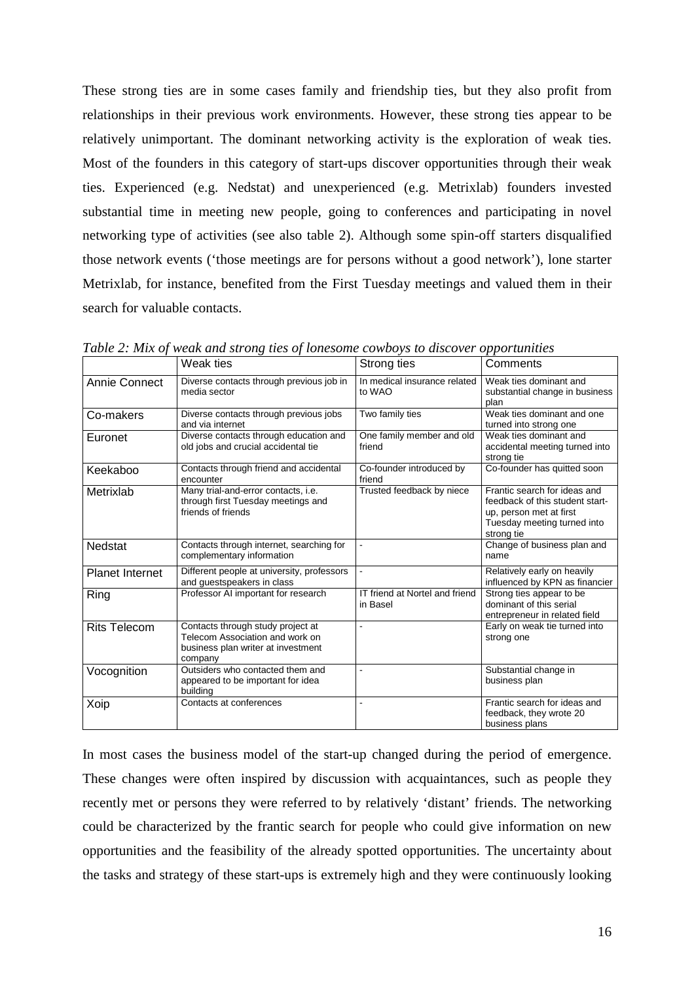These strong ties are in some cases family and friendship ties, but they also profit from relationships in their previous work environments. However, these strong ties appear to be relatively unimportant. The dominant networking activity is the exploration of weak ties. Most of the founders in this category of start-ups discover opportunities through their weak ties. Experienced (e.g. Nedstat) and unexperienced (e.g. Metrixlab) founders invested substantial time in meeting new people, going to conferences and participating in novel networking type of activities (see also table 2). Although some spin-off starters disqualified those network events ('those meetings are for persons without a good network'), lone starter Metrixlab, for instance, benefited from the First Tuesday meetings and valued them in their search for valuable contacts.

|                        | Weak ties                                                                                                             | Strong ties                                | Comments                                                                                                                                |
|------------------------|-----------------------------------------------------------------------------------------------------------------------|--------------------------------------------|-----------------------------------------------------------------------------------------------------------------------------------------|
| Annie Connect          | Diverse contacts through previous job in<br>media sector                                                              | In medical insurance related<br>to WAO     | Weak ties dominant and<br>substantial change in business<br>plan                                                                        |
| Co-makers              | Diverse contacts through previous jobs<br>and via internet                                                            | Two family ties                            | Weak ties dominant and one<br>turned into strong one                                                                                    |
| Euronet                | Diverse contacts through education and<br>old jobs and crucial accidental tie                                         | One family member and old<br>friend        | Weak ties dominant and<br>accidental meeting turned into<br>strong tie                                                                  |
| Keekaboo               | Contacts through friend and accidental<br>encounter                                                                   | Co-founder introduced by<br>friend         | Co-founder has quitted soon                                                                                                             |
| Metrixlab              | Many trial-and-error contacts, i.e.<br>through first Tuesday meetings and<br>friends of friends                       | Trusted feedback by niece                  | Frantic search for ideas and<br>feedback of this student start-<br>up, person met at first<br>Tuesday meeting turned into<br>strong tie |
| <b>Nedstat</b>         | Contacts through internet, searching for<br>complementary information                                                 | $\blacksquare$                             | Change of business plan and<br>name                                                                                                     |
| <b>Planet Internet</b> | Different people at university, professors<br>and guestspeakers in class                                              |                                            | Relatively early on heavily<br>influenced by KPN as financier                                                                           |
| Ring                   | Professor AI important for research                                                                                   | IT friend at Nortel and friend<br>in Basel | Strong ties appear to be<br>dominant of this serial<br>entrepreneur in related field                                                    |
| <b>Rits Telecom</b>    | Contacts through study project at<br>Telecom Association and work on<br>business plan writer at investment<br>company |                                            | Early on weak tie turned into<br>strong one                                                                                             |
| Vocognition            | Outsiders who contacted them and<br>appeared to be important for idea<br>building                                     |                                            | Substantial change in<br>business plan                                                                                                  |
| Xoip                   | Contacts at conferences                                                                                               |                                            | Frantic search for ideas and<br>feedback, they wrote 20<br>business plans                                                               |

*Table 2: Mix of weak and strong ties of lonesome cowboys to discover opportunities* 

In most cases the business model of the start-up changed during the period of emergence. These changes were often inspired by discussion with acquaintances, such as people they recently met or persons they were referred to by relatively 'distant' friends. The networking could be characterized by the frantic search for people who could give information on new opportunities and the feasibility of the already spotted opportunities. The uncertainty about the tasks and strategy of these start-ups is extremely high and they were continuously looking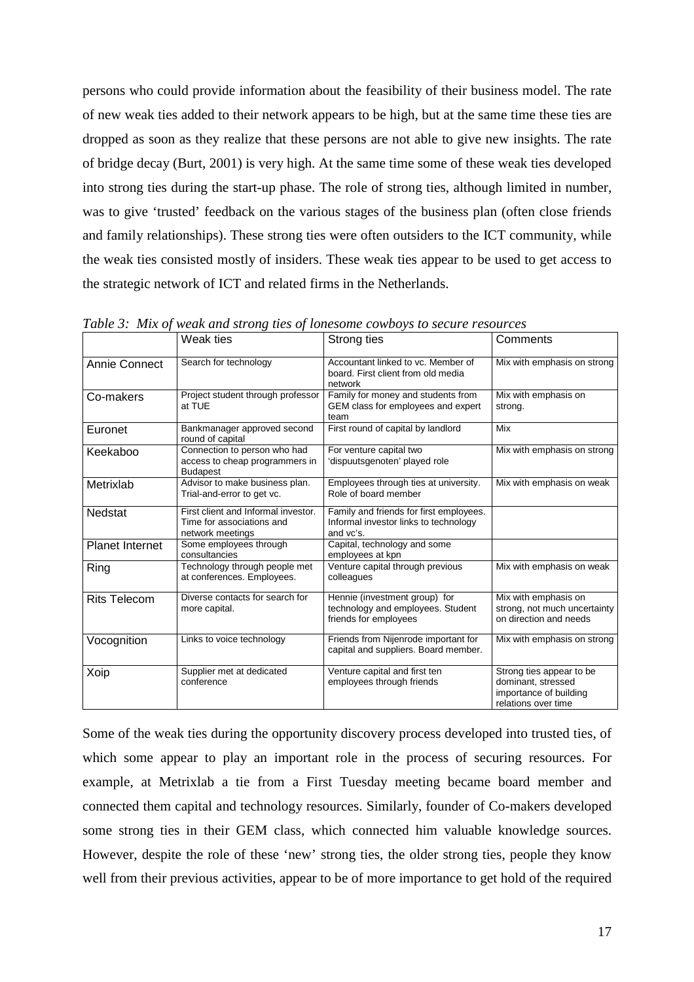persons who could provide information about the feasibility of their business model. The rate of new weak ties added to their network appears to be high, but at the same time these ties are dropped as soon as they realize that these persons are not able to give new insights. The rate of bridge decay (Burt, 2001) is very high. At the same time some of these weak ties developed into strong ties during the start-up phase. The role of strong ties, although limited in number, was to give 'trusted' feedback on the various stages of the business plan (often close friends and family relationships). These strong ties were often outsiders to the ICT community, while the weak ties consisted mostly of insiders. These weak ties appear to be used to get access to the strategic network of ICT and related firms in the Netherlands.

|                        | Weak ties                                                                            | Strong ties                                                                                   | Comments                                                                                        |
|------------------------|--------------------------------------------------------------------------------------|-----------------------------------------------------------------------------------------------|-------------------------------------------------------------------------------------------------|
| Annie Connect          | Search for technology                                                                | Accountant linked to yc. Member of<br>board. First client from old media<br>network           | Mix with emphasis on strong                                                                     |
| Co-makers              | Project student through professor<br>at TUE                                          | Family for money and students from<br>GEM class for employees and expert<br>team              | Mix with emphasis on<br>strong.                                                                 |
| Euronet                | Bankmanager approved second<br>round of capital                                      | First round of capital by landlord                                                            | Mix                                                                                             |
| Keekaboo               | Connection to person who had<br>access to cheap programmers in<br><b>Budapest</b>    | For venture capital two<br>'dispuutsgenoten' played role                                      | Mix with emphasis on strong                                                                     |
| Metrixlab              | Advisor to make business plan.<br>Trial-and-error to get vc.                         | Employees through ties at university.<br>Role of board member                                 | Mix with emphasis on weak                                                                       |
| <b>Nedstat</b>         | First client and Informal investor.<br>Time for associations and<br>network meetings | Family and friends for first employees.<br>Informal investor links to technology<br>and vc's. |                                                                                                 |
| <b>Planet Internet</b> | Some employees through<br>consultancies                                              | Capital, technology and some<br>employees at kpn                                              |                                                                                                 |
| Ring                   | Technology through people met<br>at conferences. Employees.                          | Venture capital through previous<br>colleagues                                                | Mix with emphasis on weak                                                                       |
| <b>Rits Telecom</b>    | Diverse contacts for search for<br>more capital.                                     | Hennie (investment group) for<br>technology and employees. Student<br>friends for employees   | Mix with emphasis on<br>strong, not much uncertainty<br>on direction and needs                  |
| Vocognition            | Links to voice technology                                                            | Friends from Nijenrode important for<br>capital and suppliers. Board member.                  | Mix with emphasis on strong                                                                     |
| Xoip                   | Supplier met at dedicated<br>conference                                              | Venture capital and first ten<br>employees through friends                                    | Strong ties appear to be<br>dominant, stressed<br>importance of building<br>relations over time |

*Table 3: Mix of weak and strong ties of lonesome cowboys to secure resources* 

Some of the weak ties during the opportunity discovery process developed into trusted ties, of which some appear to play an important role in the process of securing resources. For example, at Metrixlab a tie from a First Tuesday meeting became board member and connected them capital and technology resources. Similarly, founder of Co-makers developed some strong ties in their GEM class, which connected him valuable knowledge sources. However, despite the role of these 'new' strong ties, the older strong ties, people they know well from their previous activities, appear to be of more importance to get hold of the required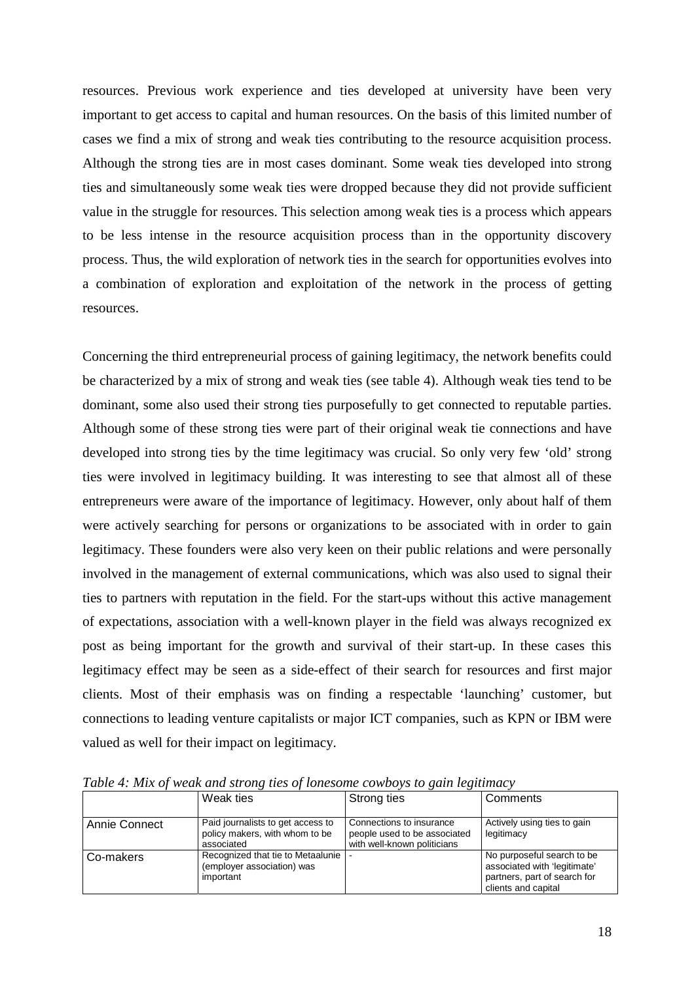resources. Previous work experience and ties developed at university have been very important to get access to capital and human resources. On the basis of this limited number of cases we find a mix of strong and weak ties contributing to the resource acquisition process. Although the strong ties are in most cases dominant. Some weak ties developed into strong ties and simultaneously some weak ties were dropped because they did not provide sufficient value in the struggle for resources. This selection among weak ties is a process which appears to be less intense in the resource acquisition process than in the opportunity discovery process. Thus, the wild exploration of network ties in the search for opportunities evolves into a combination of exploration and exploitation of the network in the process of getting resources.

Concerning the third entrepreneurial process of gaining legitimacy, the network benefits could be characterized by a mix of strong and weak ties (see table 4). Although weak ties tend to be dominant, some also used their strong ties purposefully to get connected to reputable parties. Although some of these strong ties were part of their original weak tie connections and have developed into strong ties by the time legitimacy was crucial. So only very few 'old' strong ties were involved in legitimacy building. It was interesting to see that almost all of these entrepreneurs were aware of the importance of legitimacy. However, only about half of them were actively searching for persons or organizations to be associated with in order to gain legitimacy. These founders were also very keen on their public relations and were personally involved in the management of external communications, which was also used to signal their ties to partners with reputation in the field. For the start-ups without this active management of expectations, association with a well-known player in the field was always recognized ex post as being important for the growth and survival of their start-up. In these cases this legitimacy effect may be seen as a side-effect of their search for resources and first major clients. Most of their emphasis was on finding a respectable 'launching' customer, but connections to leading venture capitalists or major ICT companies, such as KPN or IBM were valued as well for their impact on legitimacy.

|               | Weak ties                                                                         | Strong ties                                                                             | Comments                                                                                                          |
|---------------|-----------------------------------------------------------------------------------|-----------------------------------------------------------------------------------------|-------------------------------------------------------------------------------------------------------------------|
| Annie Connect | Paid journalists to get access to<br>policy makers, with whom to be<br>associated | Connections to insurance<br>people used to be associated<br>with well-known politicians | Actively using ties to gain<br>legitimacy                                                                         |
| Co-makers     | Recognized that tie to Metaalunie<br>(employer association) was<br>important      |                                                                                         | No purposeful search to be<br>associated with 'legitimate'<br>partners, part of search for<br>clients and capital |

*Table 4: Mix of weak and strong ties of lonesome cowboys to gain legitimacy*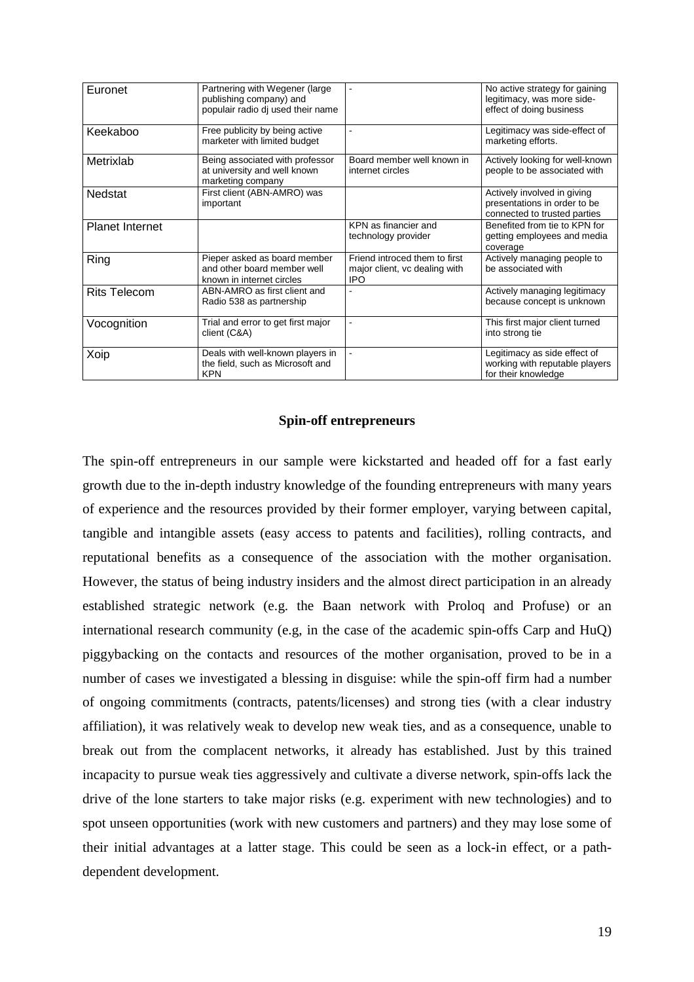| Euronet                | Partnering with Wegener (large<br>publishing company) and<br>populair radio dj used their name |                                                                              | No active strategy for gaining<br>legitimacy, was more side-<br>effect of doing business    |
|------------------------|------------------------------------------------------------------------------------------------|------------------------------------------------------------------------------|---------------------------------------------------------------------------------------------|
| Keekaboo               | Free publicity by being active<br>marketer with limited budget                                 | $\blacksquare$                                                               | Legitimacy was side-effect of<br>marketing efforts.                                         |
| Metrixlab              | Being associated with professor<br>at university and well known<br>marketing company           | Board member well known in<br>internet circles                               | Actively looking for well-known<br>people to be associated with                             |
| <b>Nedstat</b>         | First client (ABN-AMRO) was<br>important                                                       |                                                                              | Actively involved in giving<br>presentations in order to be<br>connected to trusted parties |
| <b>Planet Internet</b> |                                                                                                | KPN as financier and<br>technology provider                                  | Benefited from tie to KPN for<br>getting employees and media<br>coverage                    |
| Ring                   | Pieper asked as board member<br>and other board member well<br>known in internet circles       | Friend introced them to first<br>major client, vc dealing with<br><b>IPO</b> | Actively managing people to<br>be associated with                                           |
| <b>Rits Telecom</b>    | ABN-AMRO as first client and<br>Radio 538 as partnership                                       |                                                                              | Actively managing legitimacy<br>because concept is unknown                                  |
| Vocognition            | Trial and error to get first major<br>client (C&A)                                             | $\blacksquare$                                                               | This first major client turned<br>into strong tie                                           |
| Xoip                   | Deals with well-known players in<br>the field, such as Microsoft and<br><b>KPN</b>             | ä,                                                                           | Legitimacy as side effect of<br>working with reputable players<br>for their knowledge       |

## **Spin-off entrepreneurs**

The spin-off entrepreneurs in our sample were kickstarted and headed off for a fast early growth due to the in-depth industry knowledge of the founding entrepreneurs with many years of experience and the resources provided by their former employer, varying between capital, tangible and intangible assets (easy access to patents and facilities), rolling contracts, and reputational benefits as a consequence of the association with the mother organisation. However, the status of being industry insiders and the almost direct participation in an already established strategic network (e.g. the Baan network with Proloq and Profuse) or an international research community (e.g, in the case of the academic spin-offs Carp and HuQ) piggybacking on the contacts and resources of the mother organisation, proved to be in a number of cases we investigated a blessing in disguise: while the spin-off firm had a number of ongoing commitments (contracts, patents/licenses) and strong ties (with a clear industry affiliation), it was relatively weak to develop new weak ties, and as a consequence, unable to break out from the complacent networks, it already has established. Just by this trained incapacity to pursue weak ties aggressively and cultivate a diverse network, spin-offs lack the drive of the lone starters to take major risks (e.g. experiment with new technologies) and to spot unseen opportunities (work with new customers and partners) and they may lose some of their initial advantages at a latter stage. This could be seen as a lock-in effect, or a pathdependent development.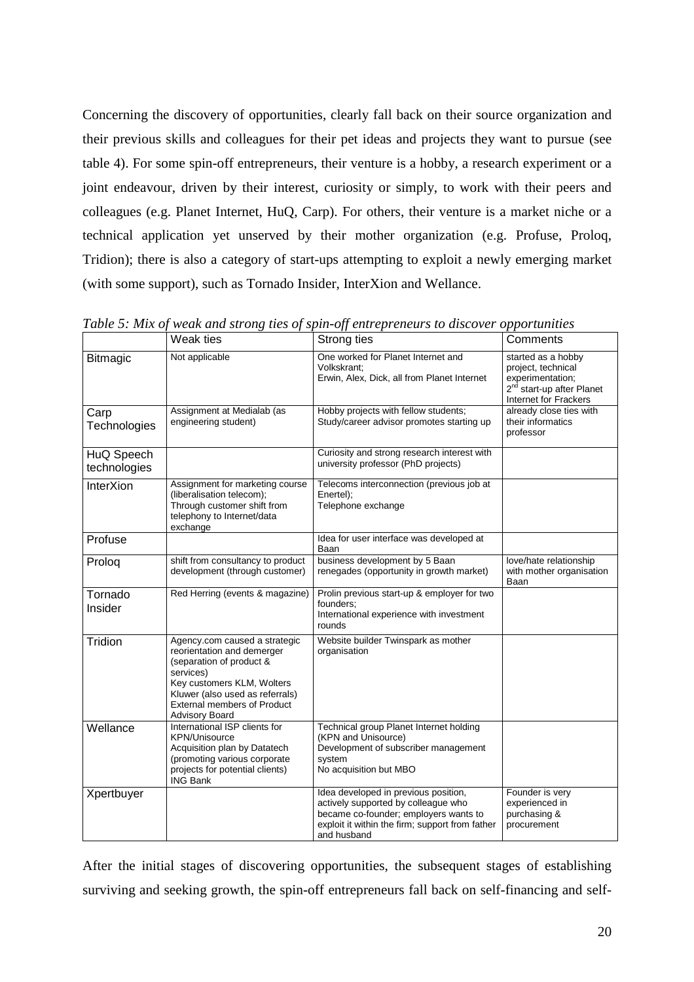Concerning the discovery of opportunities, clearly fall back on their source organization and their previous skills and colleagues for their pet ideas and projects they want to pursue (see table 4). For some spin-off entrepreneurs, their venture is a hobby, a research experiment or a joint endeavour, driven by their interest, curiosity or simply, to work with their peers and colleagues (e.g. Planet Internet, HuQ, Carp). For others, their venture is a market niche or a technical application yet unserved by their mother organization (e.g. Profuse, Proloq, Tridion); there is also a category of start-ups attempting to exploit a newly emerging market (with some support), such as Tornado Insider, InterXion and Wellance.

|                            | Weak ties                                                                                                                                                                                                                            | Strong ties                                                                                                                                                                            | Comments                                                                                                                       |
|----------------------------|--------------------------------------------------------------------------------------------------------------------------------------------------------------------------------------------------------------------------------------|----------------------------------------------------------------------------------------------------------------------------------------------------------------------------------------|--------------------------------------------------------------------------------------------------------------------------------|
| <b>Bitmagic</b>            | Not applicable                                                                                                                                                                                                                       | One worked for Planet Internet and<br>Volkskrant:<br>Erwin, Alex, Dick, all from Planet Internet                                                                                       | started as a hobby<br>project, technical<br>experimentation;<br>2 <sup>nd</sup> start-up after Planet<br>Internet for Frackers |
| Carp<br>Technologies       | Assignment at Medialab (as<br>engineering student)                                                                                                                                                                                   | Hobby projects with fellow students;<br>Study/career advisor promotes starting up                                                                                                      | already close ties with<br>their informatics<br>professor                                                                      |
| HuQ Speech<br>technologies |                                                                                                                                                                                                                                      | Curiosity and strong research interest with<br>university professor (PhD projects)                                                                                                     |                                                                                                                                |
| <b>InterXion</b>           | Assignment for marketing course<br>(liberalisation telecom);<br>Through customer shift from<br>telephony to Internet/data<br>exchange                                                                                                | Telecoms interconnection (previous job at<br>Enertel);<br>Telephone exchange                                                                                                           |                                                                                                                                |
| Profuse                    |                                                                                                                                                                                                                                      | Idea for user interface was developed at<br>Baan                                                                                                                                       |                                                                                                                                |
| Prolog                     | shift from consultancy to product<br>development (through customer)                                                                                                                                                                  | business development by 5 Baan<br>renegades (opportunity in growth market)                                                                                                             | love/hate relationship<br>with mother organisation<br>Baan                                                                     |
| Tornado<br>Insider         | Red Herring (events & magazine)                                                                                                                                                                                                      | Prolin previous start-up & employer for two<br>founders;<br>International experience with investment<br>rounds                                                                         |                                                                                                                                |
| Tridion                    | Agency.com caused a strategic<br>reorientation and demerger<br>(separation of product &<br>services)<br>Key customers KLM, Wolters<br>Kluwer (also used as referrals)<br><b>External members of Product</b><br><b>Advisory Board</b> | Website builder Twinspark as mother<br>organisation                                                                                                                                    |                                                                                                                                |
| Wellance                   | International ISP clients for<br><b>KPN/Unisource</b><br>Acquisition plan by Datatech<br>(promoting various corporate<br>projects for potential clients)<br><b>ING Bank</b>                                                          | Technical group Planet Internet holding<br>(KPN and Unisource)<br>Development of subscriber management<br>system<br>No acquisition but MBO                                             |                                                                                                                                |
| Xpertbuyer                 |                                                                                                                                                                                                                                      | Idea developed in previous position,<br>actively supported by colleague who<br>became co-founder; employers wants to<br>exploit it within the firm; support from father<br>and husband | Founder is very<br>experienced in<br>purchasing &<br>procurement                                                               |

*Table 5: Mix of weak and strong ties of spin-off entrepreneurs to discover opportunities* 

After the initial stages of discovering opportunities, the subsequent stages of establishing surviving and seeking growth, the spin-off entrepreneurs fall back on self-financing and self-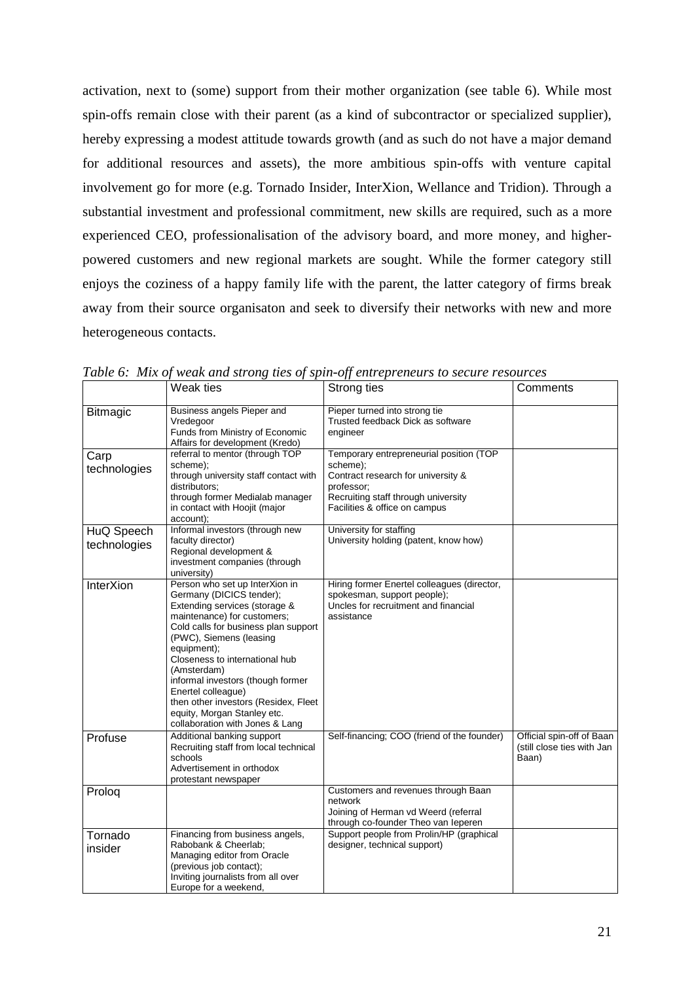activation, next to (some) support from their mother organization (see table 6). While most spin-offs remain close with their parent (as a kind of subcontractor or specialized supplier), hereby expressing a modest attitude towards growth (and as such do not have a major demand for additional resources and assets), the more ambitious spin-offs with venture capital involvement go for more (e.g. Tornado Insider, InterXion, Wellance and Tridion). Through a substantial investment and professional commitment, new skills are required, such as a more experienced CEO, professionalisation of the advisory board, and more money, and higherpowered customers and new regional markets are sought. While the former category still enjoys the coziness of a happy family life with the parent, the latter category of firms break away from their source organisaton and seek to diversify their networks with new and more heterogeneous contacts.

|                            | Weak ties                                                                                                                                                                                                                                                                                                                                                                                                                          | Strong ties                                                                                                                                                                     | Comments                                                         |
|----------------------------|------------------------------------------------------------------------------------------------------------------------------------------------------------------------------------------------------------------------------------------------------------------------------------------------------------------------------------------------------------------------------------------------------------------------------------|---------------------------------------------------------------------------------------------------------------------------------------------------------------------------------|------------------------------------------------------------------|
| <b>Bitmagic</b>            | Business angels Pieper and<br>Vredegoor<br>Funds from Ministry of Economic<br>Affairs for development (Kredo)                                                                                                                                                                                                                                                                                                                      | Pieper turned into strong tie<br>Trusted feedback Dick as software<br>engineer                                                                                                  |                                                                  |
| Carp<br>technologies       | referral to mentor (through TOP<br>scheme);<br>through university staff contact with<br>distributors;<br>through former Medialab manager<br>in contact with Hoojit (major<br>account);                                                                                                                                                                                                                                             | Temporary entrepreneurial position (TOP<br>scheme);<br>Contract research for university &<br>professor;<br>Recruiting staff through university<br>Facilities & office on campus |                                                                  |
| HuQ Speech<br>technologies | Informal investors (through new<br>faculty director)<br>Regional development &<br>investment companies (through<br>university)                                                                                                                                                                                                                                                                                                     | University for staffing<br>University holding (patent, know how)                                                                                                                |                                                                  |
| <b>InterXion</b>           | Person who set up InterXion in<br>Germany (DICICS tender);<br>Extending services (storage &<br>maintenance) for customers;<br>Cold calls for business plan support<br>(PWC), Siemens (leasing<br>equipment);<br>Closeness to international hub<br>(Amsterdam)<br>informal investors (though former<br>Enertel colleague)<br>then other investors (Residex, Fleet<br>equity, Morgan Stanley etc.<br>collaboration with Jones & Lang | Hiring former Enertel colleagues (director,<br>spokesman, support people);<br>Uncles for recruitment and financial<br>assistance                                                |                                                                  |
| Profuse                    | Additional banking support<br>Recruiting staff from local technical<br>schools<br>Advertisement in orthodox<br>protestant newspaper                                                                                                                                                                                                                                                                                                | Self-financing; COO (friend of the founder)                                                                                                                                     | Official spin-off of Baan<br>(still close ties with Jan<br>Baan) |
| Prolog                     |                                                                                                                                                                                                                                                                                                                                                                                                                                    | Customers and revenues through Baan<br>network<br>Joining of Herman vd Weerd (referral<br>through co-founder Theo van leperen                                                   |                                                                  |
| Tornado<br>insider         | Financing from business angels,<br>Rabobank & Cheerlab;<br>Managing editor from Oracle<br>(previous job contact);<br>Inviting journalists from all over<br>Europe for a weekend,                                                                                                                                                                                                                                                   | Support people from Prolin/HP (graphical<br>designer, technical support)                                                                                                        |                                                                  |

*Table 6: Mix of weak and strong ties of spin-off entrepreneurs to secure resources*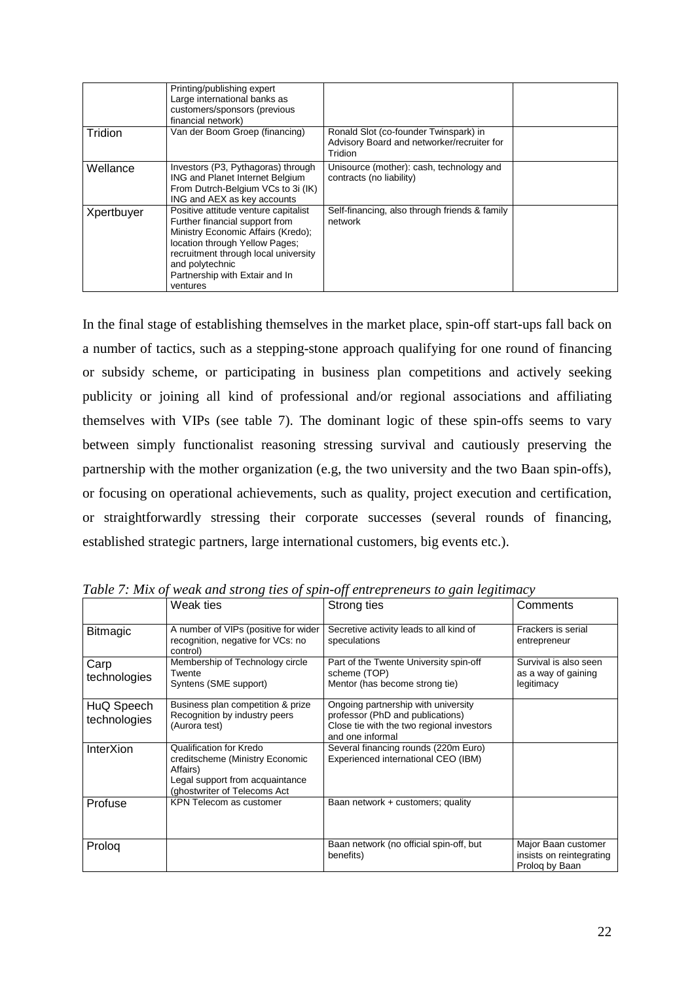|            | Printing/publishing expert<br>Large international banks as<br>customers/sponsors (previous<br>financial network)                                                                                                                                        |                                                                                                |  |
|------------|---------------------------------------------------------------------------------------------------------------------------------------------------------------------------------------------------------------------------------------------------------|------------------------------------------------------------------------------------------------|--|
| Tridion    | Van der Boom Groep (financing)                                                                                                                                                                                                                          | Ronald Slot (co-founder Twinspark) in<br>Advisory Board and networker/recruiter for<br>Tridion |  |
| Wellance   | Investors (P3, Pythagoras) through<br>ING and Planet Internet Belgium<br>From Dutrch-Belgium VCs to 3i (IK)<br>ING and AEX as key accounts                                                                                                              | Unisource (mother): cash, technology and<br>contracts (no liability)                           |  |
| Xpertbuyer | Positive attitude venture capitalist<br>Further financial support from<br>Ministry Economic Affairs (Kredo);<br>location through Yellow Pages;<br>recruitment through local university<br>and polytechnic<br>Partnership with Extair and In<br>ventures | Self-financing, also through friends & family<br>network                                       |  |

In the final stage of establishing themselves in the market place, spin-off start-ups fall back on a number of tactics, such as a stepping-stone approach qualifying for one round of financing or subsidy scheme, or participating in business plan competitions and actively seeking publicity or joining all kind of professional and/or regional associations and affiliating themselves with VIPs (see table 7). The dominant logic of these spin-offs seems to vary between simply functionalist reasoning stressing survival and cautiously preserving the partnership with the mother organization (e.g, the two university and the two Baan spin-offs), or focusing on operational achievements, such as quality, project execution and certification, or straightforwardly stressing their corporate successes (several rounds of financing, established strategic partners, large international customers, big events etc.).

|                            | Weak ties                                                                                                                                 | Strong ties                                                                                                                              | Comments                                                          |
|----------------------------|-------------------------------------------------------------------------------------------------------------------------------------------|------------------------------------------------------------------------------------------------------------------------------------------|-------------------------------------------------------------------|
| <b>Bitmagic</b>            | A number of VIPs (positive for wider<br>recognition, negative for VCs: no<br>control)                                                     | Secretive activity leads to all kind of<br>speculations                                                                                  | Frackers is serial<br>entrepreneur                                |
| Carp<br>technologies       | Membership of Technology circle<br>Twente<br>Syntens (SME support)                                                                        | Part of the Twente University spin-off<br>scheme (TOP)<br>Mentor (has become strong tie)                                                 | Survival is also seen<br>as a way of gaining<br>legitimacy        |
| HuQ Speech<br>technologies | Business plan competition & prize<br>Recognition by industry peers<br>(Aurora test)                                                       | Ongoing partnership with university<br>professor (PhD and publications)<br>Close tie with the two regional investors<br>and one informal |                                                                   |
| <b>InterXion</b>           | Qualification for Kredo<br>creditscheme (Ministry Economic<br>Affairs)<br>Legal support from acquaintance<br>(ghostwriter of Telecoms Act | Several financing rounds (220m Euro)<br>Experienced international CEO (IBM)                                                              |                                                                   |
| Profuse                    | KPN Telecom as customer                                                                                                                   | Baan network + customers; quality                                                                                                        |                                                                   |
| Prolog                     |                                                                                                                                           | Baan network (no official spin-off, but<br>benefits)                                                                                     | Major Baan customer<br>insists on reintegrating<br>Prolog by Baan |

*Table 7: Mix of weak and strong ties of spin-off entrepreneurs to gain legitimacy*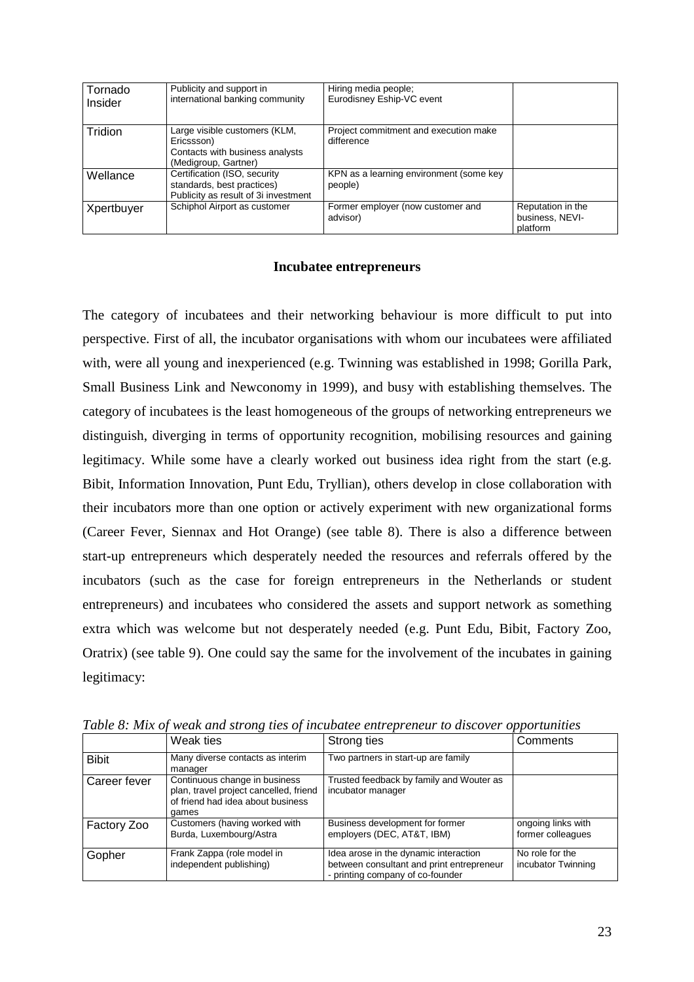| Tornado<br>Insider | Publicity and support in<br>international banking community                                            | Hiring media people;<br>Eurodisney Eship-VC event   |                                                  |
|--------------------|--------------------------------------------------------------------------------------------------------|-----------------------------------------------------|--------------------------------------------------|
| Tridion            | Large visible customers (KLM,<br>Ericssson)<br>Contacts with business analysts<br>(Medigroup, Gartner) | Project commitment and execution make<br>difference |                                                  |
| Wellance           | Certification (ISO, security<br>standards, best practices)<br>Publicity as result of 3i investment     | KPN as a learning environment (some key<br>people)  |                                                  |
| Xpertbuyer         | Schiphol Airport as customer                                                                           | Former employer (now customer and<br>advisor)       | Reputation in the<br>business, NEVI-<br>platform |

## **Incubatee entrepreneurs**

The category of incubatees and their networking behaviour is more difficult to put into perspective. First of all, the incubator organisations with whom our incubatees were affiliated with, were all young and inexperienced (e.g. Twinning was established in 1998; Gorilla Park, Small Business Link and Newconomy in 1999), and busy with establishing themselves. The category of incubatees is the least homogeneous of the groups of networking entrepreneurs we distinguish, diverging in terms of opportunity recognition, mobilising resources and gaining legitimacy. While some have a clearly worked out business idea right from the start (e.g. Bibit, Information Innovation, Punt Edu, Tryllian), others develop in close collaboration with their incubators more than one option or actively experiment with new organizational forms (Career Fever, Siennax and Hot Orange) (see table 8). There is also a difference between start-up entrepreneurs which desperately needed the resources and referrals offered by the incubators (such as the case for foreign entrepreneurs in the Netherlands or student entrepreneurs) and incubatees who considered the assets and support network as something extra which was welcome but not desperately needed (e.g. Punt Edu, Bibit, Factory Zoo, Oratrix) (see table 9). One could say the same for the involvement of the incubates in gaining legitimacy:

|              | Weak ties                                                                                                             | Strong ties                                                                                                            | Comments                                |
|--------------|-----------------------------------------------------------------------------------------------------------------------|------------------------------------------------------------------------------------------------------------------------|-----------------------------------------|
| <b>Bibit</b> | Many diverse contacts as interim<br>manager                                                                           | Two partners in start-up are family                                                                                    |                                         |
| Career fever | Continuous change in business<br>plan, travel project cancelled, friend<br>of friend had idea about business<br>games | Trusted feedback by family and Wouter as<br>incubator manager                                                          |                                         |
| Factory Zoo  | Customers (having worked with<br>Burda, Luxembourg/Astra                                                              | Business development for former<br>employers (DEC, AT&T, IBM)                                                          | ongoing links with<br>former colleagues |
| Gopher       | Frank Zappa (role model in<br>independent publishing)                                                                 | Idea arose in the dynamic interaction<br>between consultant and print entrepreneur<br>- printing company of co-founder | No role for the<br>incubator Twinning   |

*Table 8: Mix of weak and strong ties of incubatee entrepreneur to discover opportunities*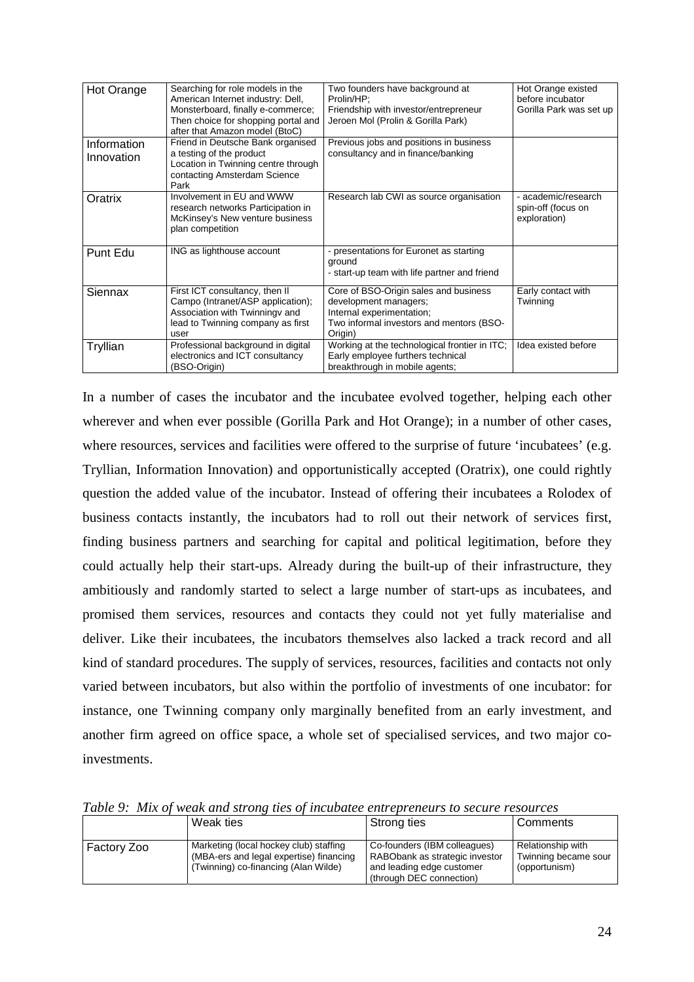| Hot Orange                | Searching for role models in the<br>American Internet industry: Dell,<br>Monsterboard, finally e-commerce;<br>Then choice for shopping portal and<br>after that Amazon model (BtoC) | Two founders have background at<br>Prolin/HP;<br>Friendship with investor/entrepreneur<br>Jeroen Mol (Prolin & Gorilla Park)                       | Hot Orange existed<br>before incubator<br>Gorilla Park was set up |
|---------------------------|-------------------------------------------------------------------------------------------------------------------------------------------------------------------------------------|----------------------------------------------------------------------------------------------------------------------------------------------------|-------------------------------------------------------------------|
| Information<br>Innovation | Friend in Deutsche Bank organised<br>a testing of the product<br>Location in Twinning centre through<br>contacting Amsterdam Science<br>Park                                        | Previous jobs and positions in business<br>consultancy and in finance/banking                                                                      |                                                                   |
| Oratrix                   | Involvement in EU and WWW<br>research networks Participation in<br>McKinsey's New venture business<br>plan competition                                                              | Research lab CWI as source organisation                                                                                                            | - academic/research<br>spin-off (focus on<br>exploration)         |
| Punt Edu                  | ING as lighthouse account                                                                                                                                                           | - presentations for Euronet as starting<br>around<br>- start-up team with life partner and friend                                                  |                                                                   |
| Siennax                   | First ICT consultancy, then II<br>Campo (Intranet/ASP application);<br>Association with Twinningv and<br>lead to Twinning company as first<br>user                                  | Core of BSO-Origin sales and business<br>development managers;<br>Internal experimentation;<br>Two informal investors and mentors (BSO-<br>Origin) | Early contact with<br>Twinning                                    |
| Tryllian                  | Professional background in digital<br>electronics and ICT consultancy<br>(BSO-Origin)                                                                                               | Working at the technological frontier in ITC;<br>Early employee furthers technical<br>breakthrough in mobile agents;                               | Idea existed before                                               |

In a number of cases the incubator and the incubatee evolved together, helping each other wherever and when ever possible (Gorilla Park and Hot Orange); in a number of other cases, where resources, services and facilities were offered to the surprise of future 'incubatees' (e.g. Tryllian, Information Innovation) and opportunistically accepted (Oratrix), one could rightly question the added value of the incubator. Instead of offering their incubatees a Rolodex of business contacts instantly, the incubators had to roll out their network of services first, finding business partners and searching for capital and political legitimation, before they could actually help their start-ups. Already during the built-up of their infrastructure, they ambitiously and randomly started to select a large number of start-ups as incubatees, and promised them services, resources and contacts they could not yet fully materialise and deliver. Like their incubatees, the incubators themselves also lacked a track record and all kind of standard procedures. The supply of services, resources, facilities and contacts not only varied between incubators, but also within the portfolio of investments of one incubator: for instance, one Twinning company only marginally benefited from an early investment, and another firm agreed on office space, a whole set of specialised services, and two major coinvestments.

| Twore seems of weak and sirous mes of memories chin epichemis to seem choom ces |                                                                                                                           |                                                                                                                         |                                                            |
|---------------------------------------------------------------------------------|---------------------------------------------------------------------------------------------------------------------------|-------------------------------------------------------------------------------------------------------------------------|------------------------------------------------------------|
|                                                                                 | Weak ties                                                                                                                 | Strong ties                                                                                                             | Comments                                                   |
| Factory Zoo                                                                     | Marketing (local hockey club) staffing<br>(MBA-ers and legal expertise) financing<br>(Twinning) co-financing (Alan Wilde) | Co-founders (IBM colleagues)<br>RABObank as strategic investor<br>and leading edge customer<br>(through DEC connection) | Relationship with<br>Twinning became sour<br>(opportunism) |

*Table 9: Mix of weak and strong ties of incubatee entrepreneurs to secure resources*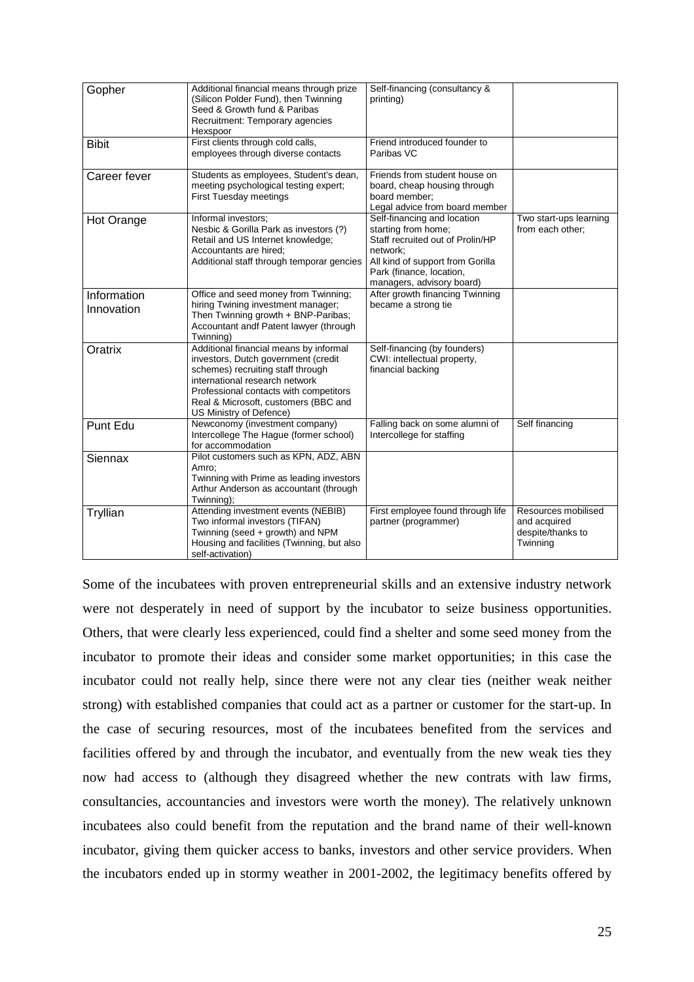| Gopher                    | Additional financial means through prize<br>(Silicon Polder Fund), then Twinning<br>Seed & Growth fund & Paribas<br>Recruitment: Temporary agencies<br>Hexspoor                                                                                                   | Self-financing (consultancy &<br>printing)                                                                                                                                                      |                                                                      |
|---------------------------|-------------------------------------------------------------------------------------------------------------------------------------------------------------------------------------------------------------------------------------------------------------------|-------------------------------------------------------------------------------------------------------------------------------------------------------------------------------------------------|----------------------------------------------------------------------|
| <b>Bibit</b>              | First clients through cold calls,<br>employees through diverse contacts                                                                                                                                                                                           | Friend introduced founder to<br>Paribas VC                                                                                                                                                      |                                                                      |
| Career fever              | Students as employees, Student's dean,<br>meeting psychological testing expert;<br>First Tuesday meetings                                                                                                                                                         | Friends from student house on<br>board, cheap housing through<br>board member:<br>Legal advice from board member                                                                                |                                                                      |
| Hot Orange                | Informal investors;<br>Nesbic & Gorilla Park as investors (?)<br>Retail and US Internet knowledge;<br>Accountants are hired:<br>Additional staff through temporar gencies                                                                                         | Self-financing and location<br>starting from home;<br>Staff recruited out of Prolin/HP<br>network:<br>All kind of support from Gorilla<br>Park (finance, location,<br>managers, advisory board) | Two start-ups learning<br>from each other;                           |
| Information<br>Innovation | Office and seed money from Twinning;<br>hiring Twining investment manager;<br>Then Twinning growth + BNP-Paribas;<br>Accountant andf Patent lawyer (through<br>Twinning)                                                                                          | After growth financing Twinning<br>became a strong tie                                                                                                                                          |                                                                      |
| Oratrix                   | Additional financial means by informal<br>investors, Dutch government (credit<br>schemes) recruiting staff through<br>international research network<br>Professional contacts with competitors<br>Real & Microsoft, customers (BBC and<br>US Ministry of Defence) | Self-financing (by founders)<br>CWI: intellectual property,<br>financial backing                                                                                                                |                                                                      |
| <b>Punt Edu</b>           | Newconomy (investment company)<br>Intercollege The Hague (former school)<br>for accommodation                                                                                                                                                                     | Falling back on some alumni of<br>Intercollege for staffing                                                                                                                                     | Self financing                                                       |
| Siennax                   | Pilot customers such as KPN, ADZ, ABN<br>Amro;<br>Twinning with Prime as leading investors<br>Arthur Anderson as accountant (through<br>Twinning);                                                                                                                |                                                                                                                                                                                                 |                                                                      |
| Tryllian                  | Attending investment events (NEBIB)<br>Two informal investors (TIFAN)<br>Twinning (seed + growth) and NPM<br>Housing and facilities (Twinning, but also<br>self-activation)                                                                                       | First employee found through life<br>partner (programmer)                                                                                                                                       | Resources mobilised<br>and acquired<br>despite/thanks to<br>Twinning |

Some of the incubatees with proven entrepreneurial skills and an extensive industry network were not desperately in need of support by the incubator to seize business opportunities. Others, that were clearly less experienced, could find a shelter and some seed money from the incubator to promote their ideas and consider some market opportunities; in this case the incubator could not really help, since there were not any clear ties (neither weak neither strong) with established companies that could act as a partner or customer for the start-up. In the case of securing resources, most of the incubatees benefited from the services and facilities offered by and through the incubator, and eventually from the new weak ties they now had access to (although they disagreed whether the new contrats with law firms, consultancies, accountancies and investors were worth the money). The relatively unknown incubatees also could benefit from the reputation and the brand name of their well-known incubator, giving them quicker access to banks, investors and other service providers. When the incubators ended up in stormy weather in 2001-2002, the legitimacy benefits offered by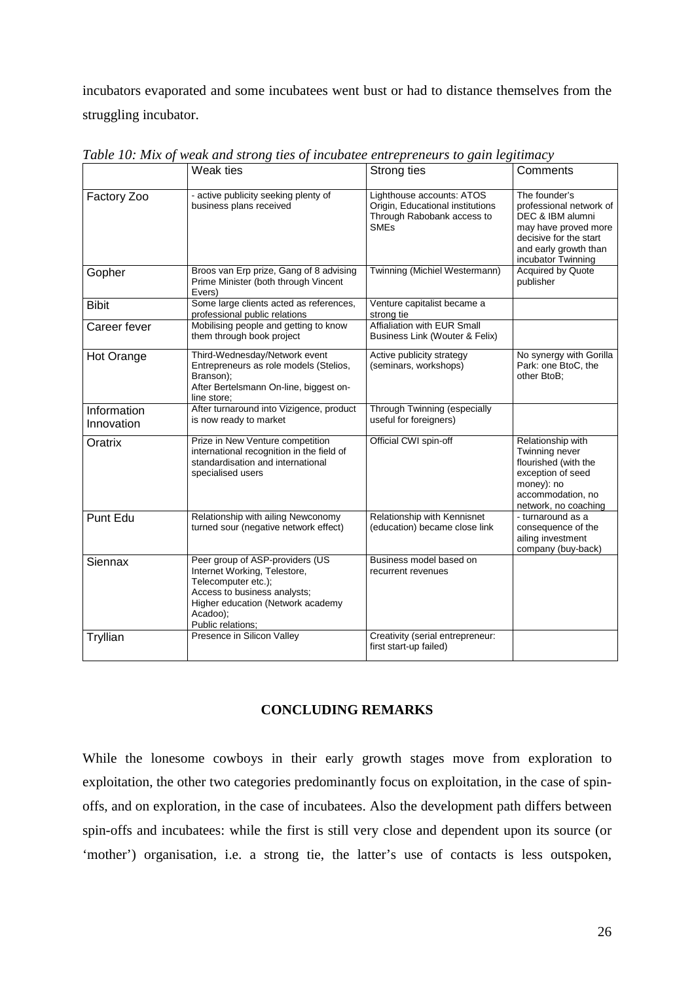incubators evaporated and some incubatees went bust or had to distance themselves from the struggling incubator.

|                           | week and shong wes of menomee entrepreneurs to gain tegumine<br>Weak ties                                                                                                                    | Strong ties                                                                                                | Comments                                                                                                                                                      |
|---------------------------|----------------------------------------------------------------------------------------------------------------------------------------------------------------------------------------------|------------------------------------------------------------------------------------------------------------|---------------------------------------------------------------------------------------------------------------------------------------------------------------|
| Factory Zoo               | - active publicity seeking plenty of<br>business plans received                                                                                                                              | Lighthouse accounts: ATOS<br>Origin, Educational institutions<br>Through Rabobank access to<br><b>SMEs</b> | The founder's<br>professional network of<br>DEC & IBM alumni<br>may have proved more<br>decisive for the start<br>and early growth than<br>incubator Twinning |
| Gopher                    | Broos van Erp prize, Gang of 8 advising<br>Prime Minister (both through Vincent<br>Evers)                                                                                                    | Twinning (Michiel Westermann)                                                                              | Acquired by Quote<br>publisher                                                                                                                                |
| <b>Bibit</b>              | Some large clients acted as references,<br>professional public relations                                                                                                                     | Venture capitalist became a<br>strong tie                                                                  |                                                                                                                                                               |
| Career fever              | Mobilising people and getting to know<br>them through book project                                                                                                                           | Affialiation with EUR Small<br>Business Link (Wouter & Felix)                                              |                                                                                                                                                               |
| Hot Orange                | Third-Wednesday/Network event<br>Entrepreneurs as role models (Stelios,<br>Branson);<br>After Bertelsmann On-line, biggest on-<br>line store;                                                | Active publicity strategy<br>(seminars, workshops)                                                         | No synergy with Gorilla<br>Park: one BtoC, the<br>other BtoB;                                                                                                 |
| Information<br>Innovation | After turnaround into Vizigence, product<br>is now ready to market                                                                                                                           | Through Twinning (especially<br>useful for foreigners)                                                     |                                                                                                                                                               |
| Oratrix                   | Prize in New Venture competition<br>international recognition in the field of<br>standardisation and international<br>specialised users                                                      | Official CWI spin-off                                                                                      | Relationship with<br>Twinning never<br>flourished (with the<br>exception of seed<br>money): no<br>accommodation, no<br>network, no coaching                   |
| Punt Edu                  | Relationship with ailing Newconomy<br>turned sour (negative network effect)                                                                                                                  | Relationship with Kennisnet<br>(education) became close link                                               | - turnaround as a<br>consequence of the<br>ailing investment<br>company (buy-back)                                                                            |
| Siennax                   | Peer group of ASP-providers (US<br>Internet Working, Telestore,<br>Telecomputer etc.);<br>Access to business analysts;<br>Higher education (Network academy<br>Acadoo);<br>Public relations: | Business model based on<br>recurrent revenues                                                              |                                                                                                                                                               |
| Tryllian                  | Presence in Silicon Valley                                                                                                                                                                   | Creativity (serial entrepreneur:<br>first start-up failed)                                                 |                                                                                                                                                               |

*Table 10: Mix of weak and strong ties of incubatee entrepreneurs to gain legitimacy* 

## **CONCLUDING REMARKS**

While the lonesome cowboys in their early growth stages move from exploration to exploitation, the other two categories predominantly focus on exploitation, in the case of spinoffs, and on exploration, in the case of incubatees. Also the development path differs between spin-offs and incubatees: while the first is still very close and dependent upon its source (or 'mother') organisation, i.e. a strong tie, the latter's use of contacts is less outspoken,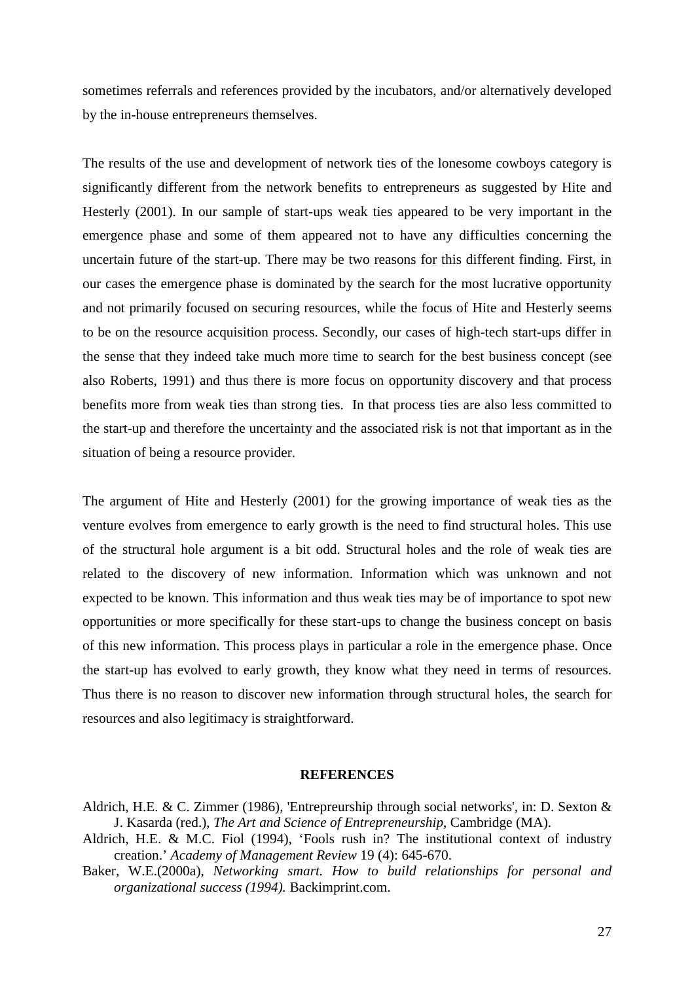sometimes referrals and references provided by the incubators, and/or alternatively developed by the in-house entrepreneurs themselves.

The results of the use and development of network ties of the lonesome cowboys category is significantly different from the network benefits to entrepreneurs as suggested by Hite and Hesterly (2001). In our sample of start-ups weak ties appeared to be very important in the emergence phase and some of them appeared not to have any difficulties concerning the uncertain future of the start-up. There may be two reasons for this different finding. First, in our cases the emergence phase is dominated by the search for the most lucrative opportunity and not primarily focused on securing resources, while the focus of Hite and Hesterly seems to be on the resource acquisition process. Secondly, our cases of high-tech start-ups differ in the sense that they indeed take much more time to search for the best business concept (see also Roberts, 1991) and thus there is more focus on opportunity discovery and that process benefits more from weak ties than strong ties. In that process ties are also less committed to the start-up and therefore the uncertainty and the associated risk is not that important as in the situation of being a resource provider.

The argument of Hite and Hesterly (2001) for the growing importance of weak ties as the venture evolves from emergence to early growth is the need to find structural holes. This use of the structural hole argument is a bit odd. Structural holes and the role of weak ties are related to the discovery of new information. Information which was unknown and not expected to be known. This information and thus weak ties may be of importance to spot new opportunities or more specifically for these start-ups to change the business concept on basis of this new information. This process plays in particular a role in the emergence phase. Once the start-up has evolved to early growth, they know what they need in terms of resources. Thus there is no reason to discover new information through structural holes, the search for resources and also legitimacy is straightforward.

#### **REFERENCES**

- Aldrich, H.E. & C. Zimmer (1986), 'Entrepreurship through social networks', in: D. Sexton & J. Kasarda (red.), *The Art and Science of Entrepreneurship*, Cambridge (MA).
- Aldrich, H.E. & M.C. Fiol (1994), 'Fools rush in? The institutional context of industry creation.' *Academy of Management Review* 19 (4): 645-670.
- Baker, W.E.(2000a), *Networking smart. How to build relationships for personal and organizational success (1994).* Backimprint.com.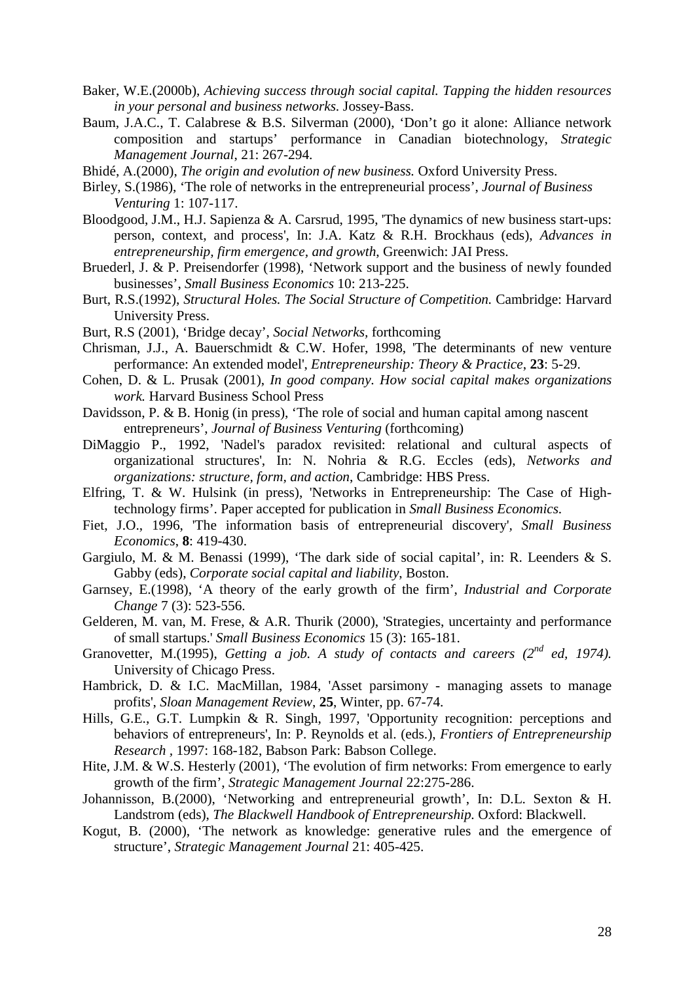- Baker, W.E.(2000b), *Achieving success through social capital. Tapping the hidden resources in your personal and business networks.* Jossey-Bass.
- Baum, J.A.C., T. Calabrese & B.S. Silverman (2000), 'Don't go it alone: Alliance network composition and startups' performance in Canadian biotechnology, *Strategic Management Journal*, 21: 267-294.
- Bhidé, A.(2000), *The origin and evolution of new business.* Oxford University Press.
- Birley, S.(1986), 'The role of networks in the entrepreneurial process', *Journal of Business Venturing* 1: 107-117.
- Bloodgood, J.M., H.J. Sapienza & A. Carsrud, 1995, 'The dynamics of new business start-ups: person, context, and process', In: J.A. Katz & R.H. Brockhaus (eds), *Advances in entrepreneurship, firm emergence, and growth*, Greenwich: JAI Press.
- Bruederl, J. & P. Preisendorfer (1998), 'Network support and the business of newly founded businesses', *Small Business Economics* 10: 213-225.
- Burt, R.S.(1992), *Structural Holes. The Social Structure of Competition.* Cambridge: Harvard University Press.
- Burt, R.S (2001), 'Bridge decay', *Social Networks,* forthcoming
- Chrisman, J.J., A. Bauerschmidt & C.W. Hofer, 1998, 'The determinants of new venture performance: An extended model', *Entrepreneurship: Theory & Practice*, **23**: 5-29.
- Cohen, D. & L. Prusak (2001), *In good company. How social capital makes organizations work.* Harvard Business School Press
- Davidsson, P. & B. Honig (in press), 'The role of social and human capital among nascent entrepreneurs', *Journal of Business Venturing* (forthcoming)
- DiMaggio P., 1992, 'Nadel's paradox revisited: relational and cultural aspects of organizational structures', In: N. Nohria & R.G. Eccles (eds), *Networks and organizations: structure, form, and action*, Cambridge: HBS Press.
- Elfring, T. & W. Hulsink (in press), 'Networks in Entrepreneurship: The Case of Hightechnology firms'. Paper accepted for publication in *Small Business Economics.*
- Fiet, J.O., 1996, 'The information basis of entrepreneurial discovery'*, Small Business Economics*, **8**: 419-430.
- Gargiulo, M. & M. Benassi (1999), 'The dark side of social capital', in: R. Leenders & S. Gabby (eds), *Corporate social capital and liability*, Boston.
- Garnsey, E.(1998), 'A theory of the early growth of the firm', *Industrial and Corporate Change* 7 (3): 523-556.
- Gelderen, M. van, M. Frese, & A.R. Thurik (2000), 'Strategies, uncertainty and performance of small startups.' *Small Business Economics* 15 (3): 165-181.
- Granovetter, M.(1995), *Getting a job. A study of contacts and careers (2<sup>nd</sup> ed, 1974).* University of Chicago Press.
- Hambrick, D. & I.C. MacMillan, 1984, 'Asset parsimony managing assets to manage profits', *Sloan Management Review*, **25**, Winter, pp. 67-74.
- Hills, G.E., G.T. Lumpkin & R. Singh, 1997, 'Opportunity recognition: perceptions and behaviors of entrepreneurs', In: P. Reynolds et al. (eds.), *Frontiers of Entrepreneurship Research ,* 1997: 168-182, Babson Park: Babson College.
- Hite, J.M. & W.S. Hesterly (2001), 'The evolution of firm networks: From emergence to early growth of the firm', *Strategic Management Journal* 22:275-286.
- Johannisson, B.(2000), 'Networking and entrepreneurial growth', In: D.L. Sexton & H. Landstrom (eds), *The Blackwell Handbook of Entrepreneurship.* Oxford: Blackwell.
- Kogut, B. (2000), 'The network as knowledge: generative rules and the emergence of structure', *Strategic Management Journal* 21: 405-425.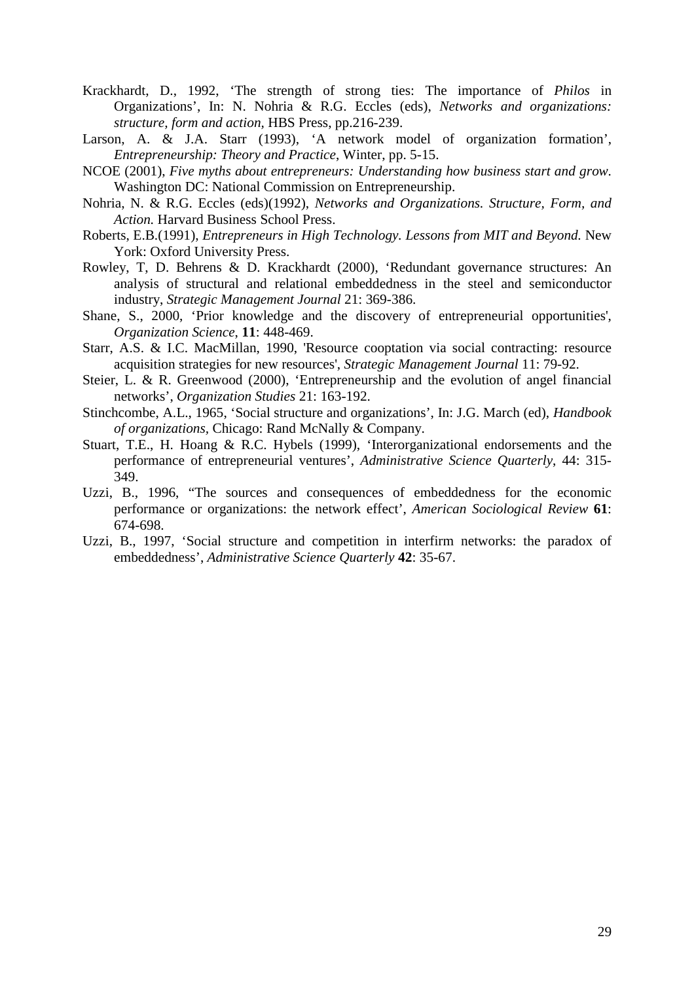- Krackhardt, D., 1992, 'The strength of strong ties: The importance of *Philos* in Organizations', In: N. Nohria & R.G. Eccles (eds), *Networks and organizations: structure, form and action,* HBS Press, pp.216-239.
- Larson, A. & J.A. Starr (1993), 'A network model of organization formation', *Entrepreneurship: Theory and Practice*, Winter, pp. 5-15.
- NCOE (2001), *Five myths about entrepreneurs: Understanding how business start and grow.*  Washington DC: National Commission on Entrepreneurship.
- Nohria, N. & R.G. Eccles (eds)(1992), *Networks and Organizations. Structure, Form, and Action.* Harvard Business School Press.
- Roberts, E.B.(1991), *Entrepreneurs in High Technology. Lessons from MIT and Beyond.* New York: Oxford University Press.
- Rowley, T, D. Behrens & D. Krackhardt (2000), 'Redundant governance structures: An analysis of structural and relational embeddedness in the steel and semiconductor industry, *Strategic Management Journal* 21: 369-386.
- Shane, S., 2000, 'Prior knowledge and the discovery of entrepreneurial opportunities', *Organization Science*, **11**: 448-469.
- Starr, A.S. & I.C. MacMillan, 1990, 'Resource cooptation via social contracting: resource acquisition strategies for new resources', *Strategic Management Journal* 11: 79-92.
- Steier, L. & R. Greenwood (2000), 'Entrepreneurship and the evolution of angel financial networks', *Organization Studies* 21: 163-192.
- Stinchcombe, A.L., 1965, 'Social structure and organizations', In: J.G. March (ed), *Handbook of organizations,* Chicago: Rand McNally & Company.
- Stuart, T.E., H. Hoang & R.C. Hybels (1999), 'Interorganizational endorsements and the performance of entrepreneurial ventures', *Administrative Science Quarterly*, 44: 315- 349.
- Uzzi, B., 1996, "The sources and consequences of embeddedness for the economic performance or organizations: the network effect', *American Sociological Review* **61**: 674-698.
- Uzzi, B., 1997, 'Social structure and competition in interfirm networks: the paradox of embeddedness', *Administrative Science Quarterly* **42**: 35-67.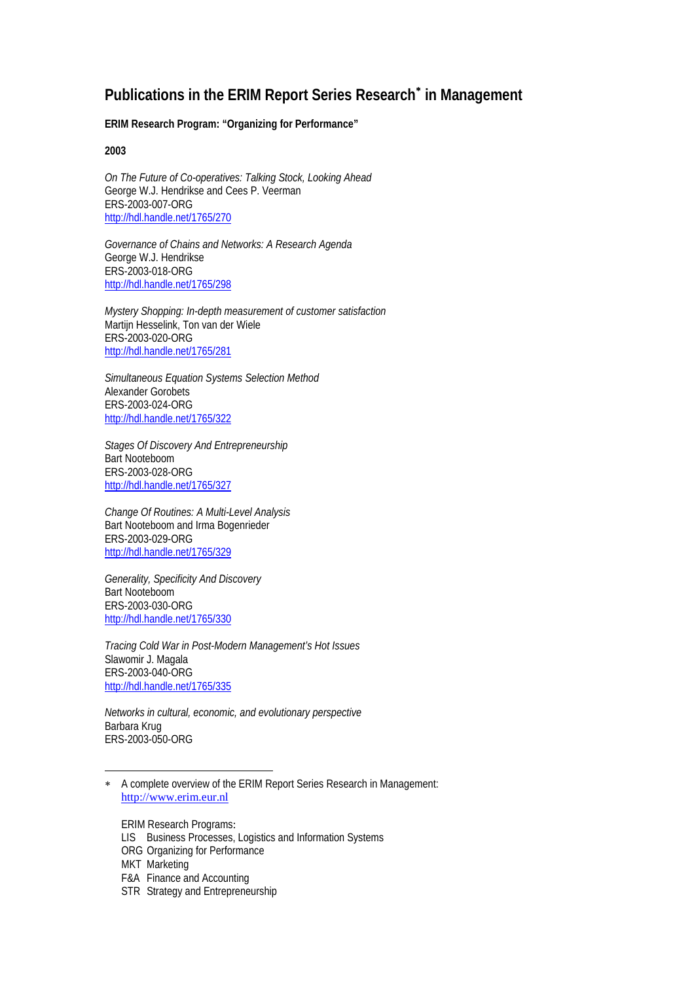# **Publications in the ERIM Report Series Research in Management**

**ERIM Research Program: "Organizing for Performance"** 

**2003**

*On The Future of Co-operatives: Talking Stock, Looking Ahead*  George W.J. Hendrikse and Cees P. Veerman ERS-2003-007-ORG <http://hdl.handle.net/1765/270>

*Governance of Chains and Networks: A Research Agenda*  George W.J. Hendrikse ERS-2003-018-ORG <http://hdl.handle.net/1765/298>

*Mystery Shopping: In-depth measurement of customer satisfaction* Martijn Hesselink, Ton van der Wiele ERS-2003-020-ORG <http://hdl.handle.net/1765/281>

*Simultaneous Equation Systems Selection Method*  Alexander Gorobets ERS-2003-024-ORG <http://hdl.handle.net/1765/322>

*Stages Of Discovery And Entrepreneurship*  Bart Nooteboom ERS-2003-028-ORG <http://hdl.handle.net/1765/327>

*Change Of Routines: A Multi-Level Analysis*  Bart Nooteboom and Irma Bogenrieder ERS-2003-029-ORG <http://hdl.handle.net/1765/329>

*Generality, Specificity And Discovery*  Bart Nooteboom ERS-2003-030-ORG <http://hdl.handle.net/1765/330>

*Tracing Cold War in Post-Modern Management's Hot Issues*  Slawomir J. Magala ERS-2003-040-ORG <http://hdl.handle.net/1765/335>

*Networks in cultural, economic, and evolutionary perspective*  Barbara Krug ERS-2003-050-ORG

ERIM Research Programs:

- ORG Organizing for Performance
- MKT Marketing

l

<span id="page-31-0"></span><sup>-</sup> A complete overview of the ERIM Report Series Research in Management: [http://www.erim.eur.nl](http://www.erim.eur.nl/)

LIS Business Processes, Logistics and Information Systems

F&A Finance and Accounting

STR Strategy and Entrepreneurship